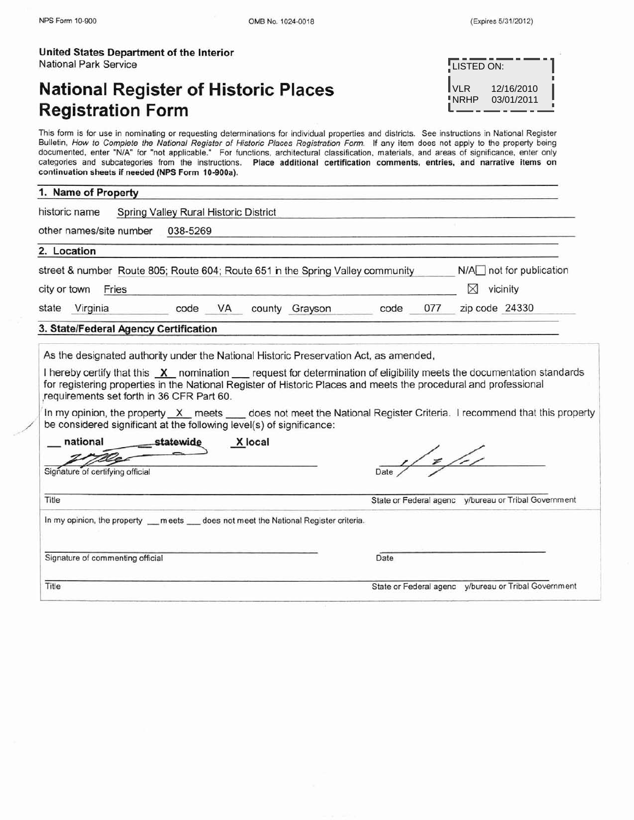| United States Department of the Interior |  |
|------------------------------------------|--|
| National Park Service                    |  |

# **National Register of Historic Places Registration Form**

| LISTED ON:    |                          |  |
|---------------|--------------------------|--|
| IVLR<br>"NRHP | 12/16/2010<br>03/01/2011 |  |

This form is for use in nominating or requesting determinations for individual properties and districts. See instructions in National Register Bulletin, How to Complete the National Register of Historic Places Registration Form. If any item does not apply to the property being documented, enter "NIA" for "not applicable." For functions, architectural classification, materials, and areas of significance, enter only categories and subcategories from the instructions. Place additional certification comments, entries, and narrative items on continuation sheets if needed (NPS Form 10-900a).

## **1. Name of Property**

| other names/site number                                                                                                                                                                                                                                                                                | 038-5269 |                |      |               |                                                                                                                  |
|--------------------------------------------------------------------------------------------------------------------------------------------------------------------------------------------------------------------------------------------------------------------------------------------------------|----------|----------------|------|---------------|------------------------------------------------------------------------------------------------------------------|
| 2. Location                                                                                                                                                                                                                                                                                            |          |                |      |               |                                                                                                                  |
| street & number Route 805; Route 604; Route 651 in the Spring Valley community                                                                                                                                                                                                                         |          |                |      |               | $N/A$ not for publication                                                                                        |
| city or town<br>Fries                                                                                                                                                                                                                                                                                  |          |                |      |               | ⋈<br>vicinity                                                                                                    |
| state Virginia                                                                                                                                                                                                                                                                                         | code VA  | county Grayson | code | 077           | zip code 24330                                                                                                   |
| 3. State/Federal Agency Certification                                                                                                                                                                                                                                                                  |          |                |      |               |                                                                                                                  |
|                                                                                                                                                                                                                                                                                                        |          |                |      |               | for registering properties in the National Register of Historic Places and meets the procedural and professional |
| requirements set forth in 36 CFR Part 60.<br>In my opinion, the property X meets _ does not meet the National Register Criteria. I recommend that this property<br>be considered significant at the following level(s) of significance:<br>national<br>__statewide<br>Signature of certifying official | X local  |                |      | $\frac{1}{2}$ |                                                                                                                  |
| Title                                                                                                                                                                                                                                                                                                  |          |                |      |               | State or Federal agenc y/bureau or Tribal Government                                                             |
|                                                                                                                                                                                                                                                                                                        |          |                | Date |               |                                                                                                                  |
| In my opinion, the property __ meets __ does not meet the National Register criteria.<br>Signature of commenting official<br>Title                                                                                                                                                                     |          |                |      |               | State or Federal agenc v/bureau or Tribal Government                                                             |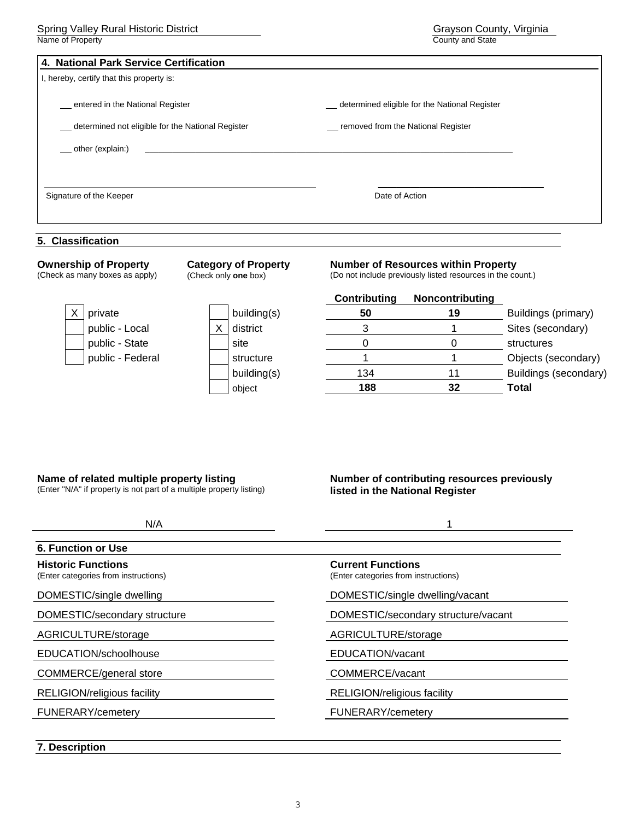| 4. National Park Service Certification            |                                               |  |
|---------------------------------------------------|-----------------------------------------------|--|
| I, hereby, certify that this property is:         |                                               |  |
| entered in the National Register                  | determined eligible for the National Register |  |
| determined not eligible for the National Register | removed from the National Register            |  |
| ___ other (explain:)                              |                                               |  |
| Signature of the Keeper                           | Date of Action                                |  |
| 5. Classification                                 |                                               |  |

#### **Ownership of Property**  (Check as many boxes as apply) **Category of Property**  (Check only **one** box) **Number of Resources within Property**  (Do not include previously listed resources in the count.) **Contributing Noncontributing**  private **building(s) 50 19** Buildings (primary) public - Local  $\begin{array}{ccc} \mid & X \mid \text{distinct} & & 3 & 1 \end{array}$  Sites (secondary) public - State site 0 0 structures public - Federal Texture 1 1 attribution of the structure 1 1 complex 1 Objects (secondary) **building(s)** 134 11 Buildings (secondary) object **188 32 Total**

## **Name of related multiple property listing**

(Enter "N/A" if property is not part of a multiple property listing)

## **Number of contributing resources previously listed in the National Register**

| N/A                                                               |                                                                  |
|-------------------------------------------------------------------|------------------------------------------------------------------|
| <b>6. Function or Use</b>                                         |                                                                  |
| <b>Historic Functions</b><br>(Enter categories from instructions) | <b>Current Functions</b><br>(Enter categories from instructions) |
| DOMESTIC/single dwelling                                          | DOMESTIC/single dwelling/vacant                                  |
| DOMESTIC/secondary structure                                      | DOMESTIC/secondary structure/vacant                              |
| AGRICULTURE/storage                                               | AGRICULTURE/storage                                              |
| EDUCATION/schoolhouse                                             | EDUCATION/vacant                                                 |
| <b>COMMERCE/general store</b>                                     | COMMERCE/vacant                                                  |
| RELIGION/religious facility                                       | RELIGION/religious facility                                      |
| <b>FUNERARY/cemetery</b>                                          | <b>FUNERARY/cemetery</b>                                         |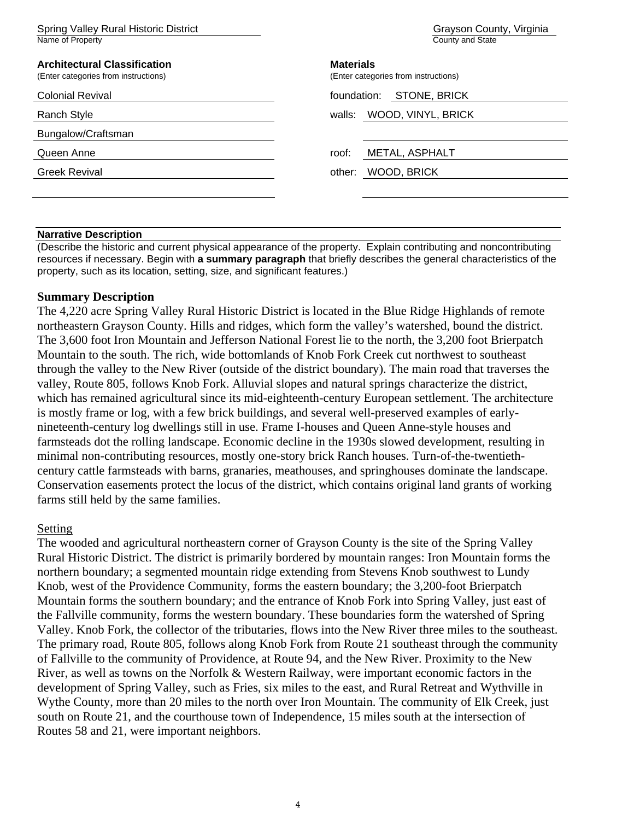| Spring Valley Rural Historic District<br>Name of Property                   | Grayson County, Virginia<br>County and State             |
|-----------------------------------------------------------------------------|----------------------------------------------------------|
| <b>Architectural Classification</b><br>(Enter categories from instructions) | <b>Materials</b><br>(Enter categories from instructions) |
| <b>Colonial Revival</b>                                                     | <b>STONE, BRICK</b><br>foundation:                       |
| <b>Ranch Style</b>                                                          | walls: WOOD, VINYL, BRICK                                |
| Bungalow/Craftsman                                                          |                                                          |
| Queen Anne                                                                  | METAL, ASPHALT<br>roof:                                  |
| <b>Greek Revival</b>                                                        | WOOD, BRICK<br>other:                                    |
|                                                                             |                                                          |
|                                                                             |                                                          |

## **Narrative Description**

(Describe the historic and current physical appearance of the property. Explain contributing and noncontributing resources if necessary. Begin with **a summary paragraph** that briefly describes the general characteristics of the property, such as its location, setting, size, and significant features.)

## **Summary Description**

The 4,220 acre Spring Valley Rural Historic District is located in the Blue Ridge Highlands of remote northeastern Grayson County. Hills and ridges, which form the valley's watershed, bound the district. The 3,600 foot Iron Mountain and Jefferson National Forest lie to the north, the 3,200 foot Brierpatch Mountain to the south. The rich, wide bottomlands of Knob Fork Creek cut northwest to southeast through the valley to the New River (outside of the district boundary). The main road that traverses the valley, Route 805, follows Knob Fork. Alluvial slopes and natural springs characterize the district, which has remained agricultural since its mid-eighteenth-century European settlement. The architecture is mostly frame or log, with a few brick buildings, and several well-preserved examples of earlynineteenth-century log dwellings still in use. Frame I-houses and Queen Anne-style houses and farmsteads dot the rolling landscape. Economic decline in the 1930s slowed development, resulting in minimal non-contributing resources, mostly one-story brick Ranch houses. Turn-of-the-twentiethcentury cattle farmsteads with barns, granaries, meathouses, and springhouses dominate the landscape. Conservation easements protect the locus of the district, which contains original land grants of working farms still held by the same families.

## Setting

The wooded and agricultural northeastern corner of Grayson County is the site of the Spring Valley Rural Historic District. The district is primarily bordered by mountain ranges: Iron Mountain forms the northern boundary; a segmented mountain ridge extending from Stevens Knob southwest to Lundy Knob, west of the Providence Community, forms the eastern boundary; the 3,200-foot Brierpatch Mountain forms the southern boundary; and the entrance of Knob Fork into Spring Valley, just east of the Fallville community, forms the western boundary. These boundaries form the watershed of Spring Valley. Knob Fork, the collector of the tributaries, flows into the New River three miles to the southeast. The primary road, Route 805, follows along Knob Fork from Route 21 southeast through the community of Fallville to the community of Providence, at Route 94, and the New River. Proximity to the New River, as well as towns on the Norfolk & Western Railway, were important economic factors in the development of Spring Valley, such as Fries, six miles to the east, and Rural Retreat and Wythville in Wythe County, more than 20 miles to the north over Iron Mountain. The community of Elk Creek, just south on Route 21, and the courthouse town of Independence, 15 miles south at the intersection of Routes 58 and 21, were important neighbors.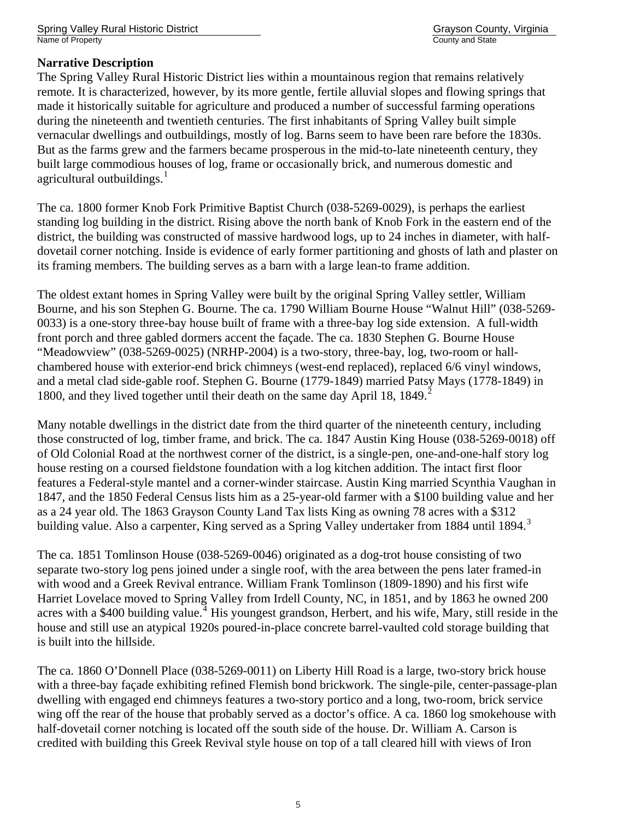Spring Valley Rural Historic District Grayson County, Virginia Name of Property **County and State** 

## **Narrative Description**

The Spring Valley Rural Historic District lies within a mountainous region that remains relatively remote. It is characterized, however, by its more gentle, fertile alluvial slopes and flowing springs that made it historically suitable for agriculture and produced a number of successful farming operations during the nineteenth and twentieth centuries. The first inhabitants of Spring Valley built simple vernacular dwellings and outbuildings, mostly of log. Barns seem to have been rare before the 1830s. But as the farms grew and the farmers became prosperous in the mid-to-late nineteenth century, they built large commodious houses of log, frame or occasionally brick, and numerous domestic and agricultural outbuildings. $<sup>1</sup>$  $<sup>1</sup>$  $<sup>1</sup>$ </sup>

The ca. 1800 former Knob Fork Primitive Baptist Church (038-5269-0029), is perhaps the earliest standing log building in the district. Rising above the north bank of Knob Fork in the eastern end of the district, the building was constructed of massive hardwood logs, up to 24 inches in diameter, with halfdovetail corner notching. Inside is evidence of early former partitioning and ghosts of lath and plaster on its framing members. The building serves as a barn with a large lean-to frame addition.

The oldest extant homes in Spring Valley were built by the original Spring Valley settler, William Bourne, and his son Stephen G. Bourne. The ca. 1790 William Bourne House "Walnut Hill" (038-5269- 0033) is a one-story three-bay house built of frame with a three-bay log side extension. A full-width front porch and three gabled dormers accent the façade. The ca. 1830 Stephen G. Bourne House "Meadowview" (038-5269-0025) (NRHP-2004) is a two-story, three-bay, log, two-room or hallchambered house with exterior-end brick chimneys (west-end replaced), replaced 6/6 vinyl windows, and a metal clad side-gable roof. Stephen G. Bourne (1779-1849) married Patsy Mays (1778-1849) in 1800, and they lived together until their death on the same day April 18, 1849. $^2$  $^2$ 

Many notable dwellings in the district date from the third quarter of the nineteenth century, including those constructed of log, timber frame, and brick. The ca. 1847 Austin King House (038-5269-0018) off of Old Colonial Road at the northwest corner of the district, is a single-pen, one-and-one-half story log house resting on a coursed fieldstone foundation with a log kitchen addition. The intact first floor features a Federal-style mantel and a corner-winder staircase. Austin King married Scynthia Vaughan in 1847, and the 1850 Federal Census lists him as a 25-year-old farmer with a \$100 building value and her as a 24 year old. The 1863 Grayson County Land Tax lists King as owning 78 acres with a \$312 building value. Also a carpenter, King served as a Spring Valley undertaker from 1884 until 1894.<sup>[3](#page-30-1)</sup>

The ca. 1851 Tomlinson House (038-5269-0046) originated as a dog-trot house consisting of two separate two-story log pens joined under a single roof, with the area between the pens later framed-in with wood and a Greek Revival entrance. William Frank Tomlinson (1809-1890) and his first wife Harriet Lovelace moved to Spring Valley from Irdell County, NC, in 1851, and by 1863 he owned 200 acres with a \$[4](#page-30-1)00 building value.<sup>4</sup> His youngest grandson, Herbert, and his wife, Mary, still reside in the house and still use an atypical 1920s poured-in-place concrete barrel-vaulted cold storage building that is built into the hillside.

The ca. 1860 O'Donnell Place (038-5269-0011) on Liberty Hill Road is a large, two-story brick house with a three-bay façade exhibiting refined Flemish bond brickwork. The single-pile, center-passage-plan dwelling with engaged end chimneys features a two-story portico and a long, two-room, brick service wing off the rear of the house that probably served as a doctor's office. A ca. 1860 log smokehouse with half-dovetail corner notching is located off the south side of the house. Dr. William A. Carson is credited with building this Greek Revival style house on top of a tall cleared hill with views of Iron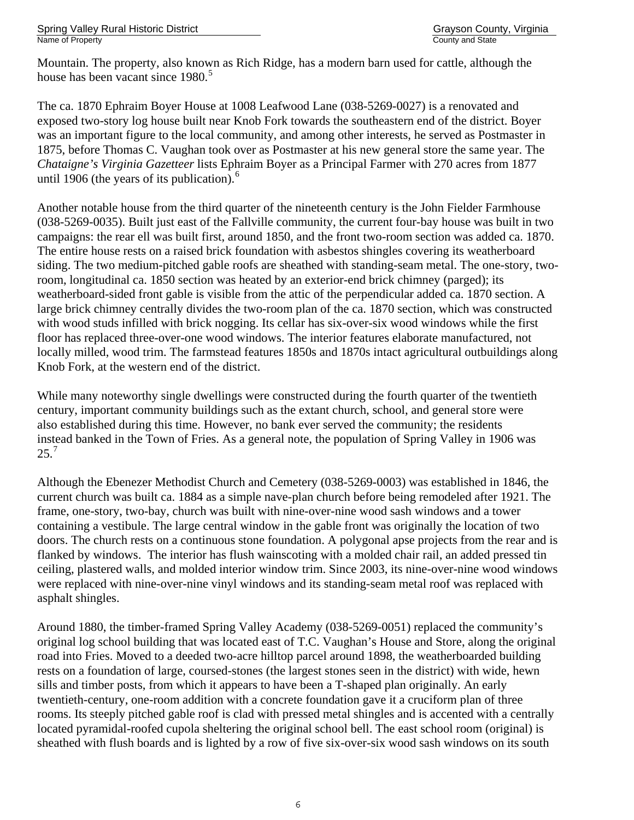Mountain. The property, also known as Rich Ridge, has a modern barn used for cattle, although the house has been vacant since 1980.<sup>[5](#page-30-1)</sup>

The ca. 1870 Ephraim Boyer House at 1008 Leafwood Lane (038-5269-0027) is a renovated and exposed two-story log house built near Knob Fork towards the southeastern end of the district. Boyer was an important figure to the local community, and among other interests, he served as Postmaster in 1875, before Thomas C. Vaughan took over as Postmaster at his new general store the same year. The *Chataigne's Virginia Gazetteer* lists Ephraim Boyer as a Principal Farmer with 270 acres from 1877 until 190[6](#page-30-1) (the years of its publication). $6$ 

Another notable house from the third quarter of the nineteenth century is the John Fielder Farmhouse (038-5269-0035). Built just east of the Fallville community, the current four-bay house was built in two campaigns: the rear ell was built first, around 1850, and the front two-room section was added ca. 1870. The entire house rests on a raised brick foundation with asbestos shingles covering its weatherboard siding. The two medium-pitched gable roofs are sheathed with standing-seam metal. The one-story, tworoom, longitudinal ca. 1850 section was heated by an exterior-end brick chimney (parged); its weatherboard-sided front gable is visible from the attic of the perpendicular added ca. 1870 section. A large brick chimney centrally divides the two-room plan of the ca. 1870 section, which was constructed with wood studs infilled with brick nogging. Its cellar has six-over-six wood windows while the first floor has replaced three-over-one wood windows. The interior features elaborate manufactured, not locally milled, wood trim. The farmstead features 1850s and 1870s intact agricultural outbuildings along Knob Fork, at the western end of the district.

While many noteworthy single dwellings were constructed during the fourth quarter of the twentieth century, important community buildings such as the extant church, school, and general store were also established during this time. However, no bank ever served the community; the residents instead banked in the Town of Fries. As a general note, the population of Spring Valley in 1906 was 25.[7](#page-30-1)

Although the Ebenezer Methodist Church and Cemetery (038-5269-0003) was established in 1846, the current church was built ca. 1884 as a simple nave-plan church before being remodeled after 1921. The frame, one-story, two-bay, church was built with nine-over-nine wood sash windows and a tower containing a vestibule. The large central window in the gable front was originally the location of two doors. The church rests on a continuous stone foundation. A polygonal apse projects from the rear and is flanked by windows. The interior has flush wainscoting with a molded chair rail, an added pressed tin ceiling, plastered walls, and molded interior window trim. Since 2003, its nine-over-nine wood windows were replaced with nine-over-nine vinyl windows and its standing-seam metal roof was replaced with asphalt shingles.

Around 1880, the timber-framed Spring Valley Academy (038-5269-0051) replaced the community's original log school building that was located east of T.C. Vaughan's House and Store, along the original road into Fries. Moved to a deeded two-acre hilltop parcel around 1898, the weatherboarded building rests on a foundation of large, coursed-stones (the largest stones seen in the district) with wide, hewn sills and timber posts, from which it appears to have been a T-shaped plan originally. An early twentieth-century, one-room addition with a concrete foundation gave it a cruciform plan of three rooms. Its steeply pitched gable roof is clad with pressed metal shingles and is accented with a centrally located pyramidal-roofed cupola sheltering the original school bell. The east school room (original) is sheathed with flush boards and is lighted by a row of five six-over-six wood sash windows on its south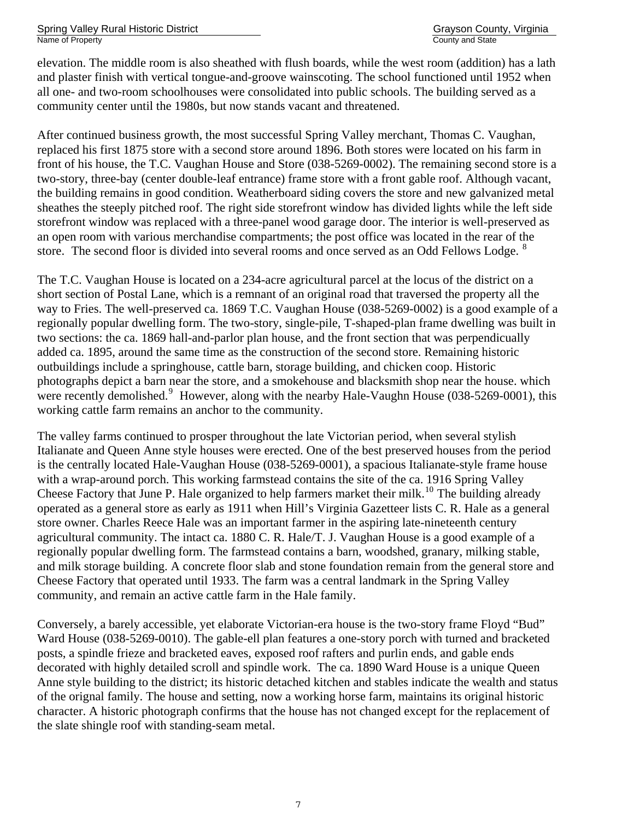Spring Valley Rural Historic District Grayson County, Virginia Name of Property County and State County and State County and State County and State County and State County and State County and State County and State County and State County and State County and State County and State C

elevation. The middle room is also sheathed with flush boards, while the west room (addition) has a lath and plaster finish with vertical tongue-and-groove wainscoting. The school functioned until 1952 when all one- and two-room schoolhouses were consolidated into public schools. The building served as a community center until the 1980s, but now stands vacant and threatened.

After continued business growth, the most successful Spring Valley merchant, Thomas C. Vaughan, replaced his first 1875 store with a second store around 1896. Both stores were located on his farm in front of his house, the T.C. Vaughan House and Store (038-5269-0002). The remaining second store is a two-story, three-bay (center double-leaf entrance) frame store with a front gable roof. Although vacant, the building remains in good condition. Weatherboard siding covers the store and new galvanized metal sheathes the steeply pitched roof. The right side storefront window has divided lights while the left side storefront window was replaced with a three-panel wood garage door. The interior is well-preserved as an open room with various merchandise compartments; the post office was located in the rear of the store. The second floor is divided into several rooms and once served as an Odd Fellows Lodge. <sup>[8](#page-30-1)</sup>

The T.C. Vaughan House is located on a 234-acre agricultural parcel at the locus of the district on a short section of Postal Lane, which is a remnant of an original road that traversed the property all the way to Fries. The well-preserved ca. 1869 T.C. Vaughan House (038-5269-0002) is a good example of a regionally popular dwelling form. The two-story, single-pile, T-shaped-plan frame dwelling was built in two sections: the ca. 1869 hall-and-parlor plan house, and the front section that was perpendicually added ca. 1895, around the same time as the construction of the second store. Remaining historic outbuildings include a springhouse, cattle barn, storage building, and chicken coop. Historic photographs depict a barn near the store, and a smokehouse and blacksmith shop near the house. which were recently demolished.<sup>[9](#page-30-1)</sup> However, along with the nearby Hale-Vaughn House (038-5269-0001), this working cattle farm remains an anchor to the community.

The valley farms continued to prosper throughout the late Victorian period, when several stylish Italianate and Queen Anne style houses were erected. One of the best preserved houses from the period is the centrally located Hale-Vaughan House (038-5269-0001), a spacious Italianate-style frame house with a wrap-around porch. This working farmstead contains the site of the ca. 1916 Spring Valley Cheese Factory that June P. Hale organized to help farmers market their milk.<sup>[10](#page-30-1)</sup> The building already operated as a general store as early as 1911 when Hill's Virginia Gazetteer lists C. R. Hale as a general store owner. Charles Reece Hale was an important farmer in the aspiring late-nineteenth century agricultural community. The intact ca. 1880 C. R. Hale/T. J. Vaughan House is a good example of a regionally popular dwelling form. The farmstead contains a barn, woodshed, granary, milking stable, and milk storage building. A concrete floor slab and stone foundation remain from the general store and Cheese Factory that operated until 1933. The farm was a central landmark in the Spring Valley community, and remain an active cattle farm in the Hale family.

Conversely, a barely accessible, yet elaborate Victorian-era house is the two-story frame Floyd "Bud" Ward House (038-5269-0010). The gable-ell plan features a one-story porch with turned and bracketed posts, a spindle frieze and bracketed eaves, exposed roof rafters and purlin ends, and gable ends decorated with highly detailed scroll and spindle work. The ca. 1890 Ward House is a unique Queen Anne style building to the district; its historic detached kitchen and stables indicate the wealth and status of the orignal family. The house and setting, now a working horse farm, maintains its original historic character. A historic photograph confirms that the house has not changed except for the replacement of the slate shingle roof with standing-seam metal.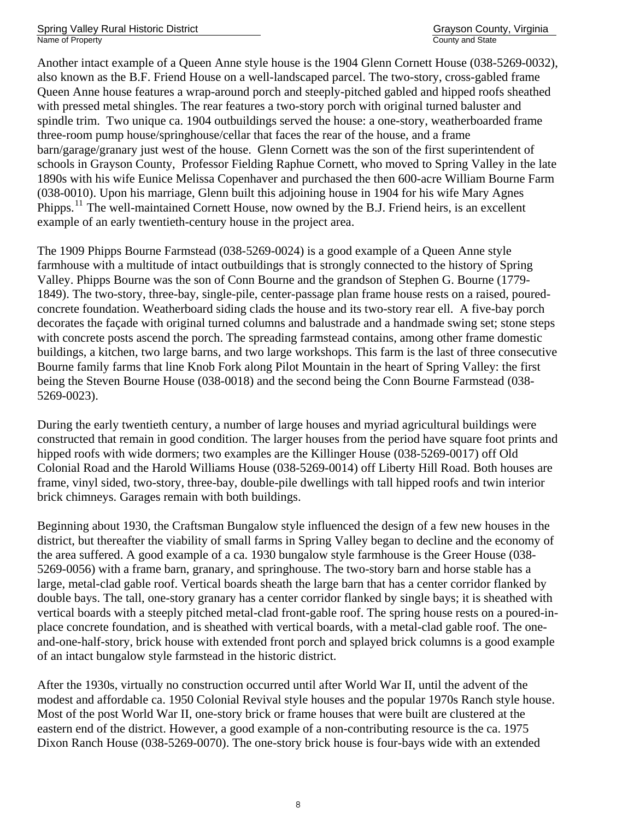Spring Valley Rural Historic District Grayson County, Virginia Grayson County, Virginia Name of Property County and State County and State County and State County and State County and State County and State County and State County and State County and State County and State County and State County and State C

Another intact example of a Queen Anne style house is the 1904 Glenn Cornett House (038-5269-0032), also known as the B.F. Friend House on a well-landscaped parcel. The two-story, cross-gabled frame Queen Anne house features a wrap-around porch and steeply-pitched gabled and hipped roofs sheathed with pressed metal shingles. The rear features a two-story porch with original turned baluster and spindle trim. Two unique ca. 1904 outbuildings served the house: a one-story, weatherboarded frame three-room pump house/springhouse/cellar that faces the rear of the house, and a frame barn/garage/granary just west of the house. Glenn Cornett was the son of the first superintendent of schools in Grayson County, Professor Fielding Raphue Cornett, who moved to Spring Valley in the late 1890s with his wife Eunice Melissa Copenhaver and purchased the then 600-acre William Bourne Farm (038-0010). Upon his marriage, Glenn built this adjoining house in 1904 for his wife Mary Agnes Phipps.<sup>[11](#page-30-1)</sup> The well-maintained Cornett House, now owned by the B.J. Friend heirs, is an excellent example of an early twentieth-century house in the project area.

The 1909 Phipps Bourne Farmstead (038-5269-0024) is a good example of a Queen Anne style farmhouse with a multitude of intact outbuildings that is strongly connected to the history of Spring Valley. Phipps Bourne was the son of Conn Bourne and the grandson of Stephen G. Bourne (1779- 1849). The two-story, three-bay, single-pile, center-passage plan frame house rests on a raised, pouredconcrete foundation. Weatherboard siding clads the house and its two-story rear ell. A five-bay porch decorates the façade with original turned columns and balustrade and a handmade swing set; stone steps with concrete posts ascend the porch. The spreading farmstead contains, among other frame domestic buildings, a kitchen, two large barns, and two large workshops. This farm is the last of three consecutive Bourne family farms that line Knob Fork along Pilot Mountain in the heart of Spring Valley: the first being the Steven Bourne House (038-0018) and the second being the Conn Bourne Farmstead (038- 5269-0023).

During the early twentieth century, a number of large houses and myriad agricultural buildings were constructed that remain in good condition. The larger houses from the period have square foot prints and hipped roofs with wide dormers; two examples are the Killinger House (038-5269-0017) off Old Colonial Road and the Harold Williams House (038-5269-0014) off Liberty Hill Road. Both houses are frame, vinyl sided, two-story, three-bay, double-pile dwellings with tall hipped roofs and twin interior brick chimneys. Garages remain with both buildings.

Beginning about 1930, the Craftsman Bungalow style influenced the design of a few new houses in the district, but thereafter the viability of small farms in Spring Valley began to decline and the economy of the area suffered. A good example of a ca. 1930 bungalow style farmhouse is the Greer House (038- 5269-0056) with a frame barn, granary, and springhouse. The two-story barn and horse stable has a large, metal-clad gable roof. Vertical boards sheath the large barn that has a center corridor flanked by double bays. The tall, one-story granary has a center corridor flanked by single bays; it is sheathed with vertical boards with a steeply pitched metal-clad front-gable roof. The spring house rests on a poured-inplace concrete foundation, and is sheathed with vertical boards, with a metal-clad gable roof. The oneand-one-half-story, brick house with extended front porch and splayed brick columns is a good example of an intact bungalow style farmstead in the historic district.

After the 1930s, virtually no construction occurred until after World War II, until the advent of the modest and affordable ca. 1950 Colonial Revival style houses and the popular 1970s Ranch style house. Most of the post World War II, one-story brick or frame houses that were built are clustered at the eastern end of the district. However, a good example of a non-contributing resource is the ca. 1975 Dixon Ranch House (038-5269-0070). The one-story brick house is four-bays wide with an extended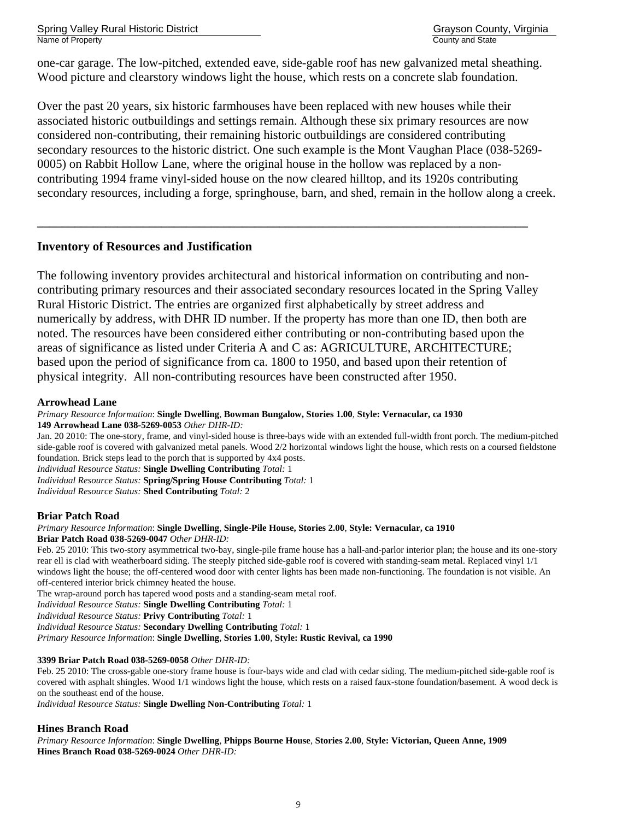Spring Valley Rural Historic District Grayson County, Virginia Name of Property **County and State** 

one-car garage. The low-pitched, extended eave, side-gable roof has new galvanized metal sheathing. Wood picture and clearstory windows light the house, which rests on a concrete slab foundation.

Over the past 20 years, six historic farmhouses have been replaced with new houses while their associated historic outbuildings and settings remain. Although these six primary resources are now considered non-contributing, their remaining historic outbuildings are considered contributing secondary resources to the historic district. One such example is the Mont Vaughan Place (038-5269- 0005) on Rabbit Hollow Lane, where the original house in the hollow was replaced by a noncontributing 1994 frame vinyl-sided house on the now cleared hilltop, and its 1920s contributing secondary resources, including a forge, springhouse, barn, and shed, remain in the hollow along a creek.

## **Inventory of Resources and Justification**

The following inventory provides architectural and historical information on contributing and noncontributing primary resources and their associated secondary resources located in the Spring Valley Rural Historic District. The entries are organized first alphabetically by street address and numerically by address, with DHR ID number. If the property has more than one ID, then both are noted. The resources have been considered either contributing or non-contributing based upon the areas of significance as listed under Criteria A and C as: AGRICULTURE, ARCHITECTURE; based upon the period of significance from ca. 1800 to 1950, and based upon their retention of physical integrity. All non-contributing resources have been constructed after 1950.

**\_\_\_\_\_\_\_\_\_\_\_\_\_\_\_\_\_\_\_\_\_\_\_\_\_\_\_\_\_\_\_\_\_\_\_\_\_\_\_\_\_\_\_\_\_\_\_\_\_\_\_\_\_\_\_\_\_\_\_\_\_\_\_\_\_\_\_\_\_\_\_\_\_\_\_\_\_\_\_** 

## **Arrowhead Lane**

*Primary Resource Information*: **Single Dwelling**, **Bowman Bungalow, Stories 1.00**, **Style: Vernacular, ca 1930 149 Arrowhead Lane 038-5269-0053** *Other DHR-ID:* 

Jan. 20 2010: The one-story, frame, and vinyl-sided house is three-bays wide with an extended full-width front porch. The medium-pitched side-gable roof is covered with galvanized metal panels. Wood 2/2 horizontal windows light the house, which rests on a coursed fieldstone foundation. Brick steps lead to the porch that is supported by 4x4 posts. *Individual Resource Status:* **Single Dwelling Contributing** *Total:* 1

*Individual Resource Status:* **Spring/Spring House Contributing** *Total:* 1

*Individual Resource Status:* **Shed Contributing** *Total:* 2

## **Briar Patch Road**

#### *Primary Resource Information*: **Single Dwelling**, **Single-Pile House, Stories 2.00**, **Style: Vernacular, ca 1910 Briar Patch Road 038-5269-0047** *Other DHR-ID:*

Feb. 25 2010: This two-story asymmetrical two-bay, single-pile frame house has a hall-and-parlor interior plan; the house and its one-story rear ell is clad with weatherboard siding. The steeply pitched side-gable roof is covered with standing-seam metal. Replaced vinyl 1/1 windows light the house; the off-centered wood door with center lights has been made non-functioning. The foundation is not visible. An off-centered interior brick chimney heated the house.

The wrap-around porch has tapered wood posts and a standing-seam metal roof.

*Individual Resource Status:* **Single Dwelling Contributing** *Total:* 1

*Individual Resource Status:* **Privy Contributing** *Total:* 1

*Individual Resource Status:* **Secondary Dwelling Contributing** *Total:* 1

*Primary Resource Information*: **Single Dwelling**, **Stories 1.00**, **Style: Rustic Revival, ca 1990** 

## **3399 Briar Patch Road 038-5269-0058** *Other DHR-ID:*

Feb. 25 2010: The cross-gable one-story frame house is four-bays wide and clad with cedar siding. The medium-pitched side-gable roof is covered with asphalt shingles. Wood 1/1 windows light the house, which rests on a raised faux-stone foundation/basement. A wood deck is on the southeast end of the house.

*Individual Resource Status:* **Single Dwelling Non-Contributing** *Total:* 1

## **Hines Branch Road**

*Primary Resource Information*: **Single Dwelling**, **Phipps Bourne House**, **Stories 2.00**, **Style: Victorian, Queen Anne, 1909 Hines Branch Road 038-5269-0024** *Other DHR-ID:*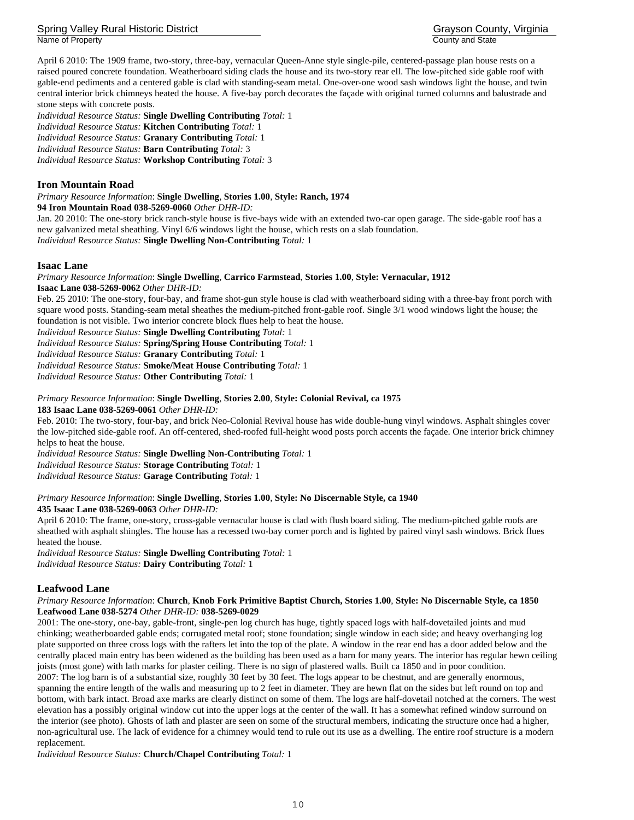Spring Valley Rural Historic District Grayson County, Virginia Name of Property **County and State** 

April 6 2010: The 1909 frame, two-story, three-bay, vernacular Queen-Anne style single-pile, centered-passage plan house rests on a raised poured concrete foundation. Weatherboard siding clads the house and its two-story rear ell. The low-pitched side gable roof with gable-end pediments and a centered gable is clad with standing-seam metal. One-over-one wood sash windows light the house, and twin central interior brick chimneys heated the house. A five-bay porch decorates the façade with original turned columns and balustrade and stone steps with concrete posts.

*Individual Resource Status:* **Single Dwelling Contributing** *Total:* 1 *Individual Resource Status:* **Kitchen Contributing** *Total:* 1 *Individual Resource Status:* **Granary Contributing** *Total:* 1 *Individual Resource Status:* **Barn Contributing** *Total:* 3 *Individual Resource Status:* **Workshop Contributing** *Total:* 3

## **Iron Mountain Road**

*Primary Resource Information*: **Single Dwelling**, **Stories 1.00**, **Style: Ranch, 1974 94 Iron Mountain Road 038-5269-0060** *Other DHR-ID:* 

Jan. 20 2010: The one-story brick ranch-style house is five-bays wide with an extended two-car open garage. The side-gable roof has a new galvanized metal sheathing. Vinyl 6/6 windows light the house, which rests on a slab foundation. *Individual Resource Status:* **Single Dwelling Non-Contributing** *Total:* 1

#### **Isaac Lane**

*Primary Resource Information*: **Single Dwelling**, **Carrico Farmstead**, **Stories 1.00**, **Style: Vernacular, 1912 Isaac Lane 038-5269-0062** *Other DHR-ID:* 

Feb. 25 2010: The one-story, four-bay, and frame shot-gun style house is clad with weatherboard siding with a three-bay front porch with square wood posts. Standing-seam metal sheathes the medium-pitched front-gable roof. Single 3/1 wood windows light the house; the foundation is not visible. Two interior concrete block flues help to heat the house.

*Individual Resource Status:* **Single Dwelling Contributing** *Total:* 1

*Individual Resource Status:* **Spring/Spring House Contributing** *Total:* 1

*Individual Resource Status:* **Granary Contributing** *Total:* 1

*Individual Resource Status:* **Smoke/Meat House Contributing** *Total:* 1

*Individual Resource Status:* **Other Contributing** *Total:* 1

#### *Primary Resource Information*: **Single Dwelling**, **Stories 2.00**, **Style: Colonial Revival, ca 1975**

#### **183 Isaac Lane 038-5269-0061** *Other DHR-ID:*

Feb. 2010: The two-story, four-bay, and brick Neo-Colonial Revival house has wide double-hung vinyl windows. Asphalt shingles cover the low-pitched side-gable roof. An off-centered, shed-roofed full-height wood posts porch accents the façade. One interior brick chimney helps to heat the house.

*Individual Resource Status:* **Single Dwelling Non-Contributing** *Total:* 1

*Individual Resource Status:* **Storage Contributing** *Total:* 1

*Individual Resource Status:* **Garage Contributing** *Total:* 1

#### *Primary Resource Information*: **Single Dwelling**, **Stories 1.00**, **Style: No Discernable Style, ca 1940**

#### **435 Isaac Lane 038-5269-0063** *Other DHR-ID:*

April 6 2010: The frame, one-story, cross-gable vernacular house is clad with flush board siding. The medium-pitched gable roofs are sheathed with asphalt shingles. The house has a recessed two-bay corner porch and is lighted by paired vinyl sash windows. Brick flues heated the house.

*Individual Resource Status:* **Single Dwelling Contributing** *Total:* 1

*Individual Resource Status:* **Dairy Contributing** *Total:* 1

## **Leafwood Lane**

#### *Primary Resource Information*: **Church**, **Knob Fork Primitive Baptist Church, Stories 1.00**, **Style: No Discernable Style, ca 1850 Leafwood Lane 038-5274** *Other DHR-ID:* **038-5269-0029**

2001: The one-story, one-bay, gable-front, single-pen log church has huge, tightly spaced logs with half-dovetailed joints and mud chinking; weatherboarded gable ends; corrugated metal roof; stone foundation; single window in each side; and heavy overhanging log plate supported on three cross logs with the rafters let into the top of the plate. A window in the rear end has a door added below and the centrally placed main entry has been widened as the building has been used as a barn for many years. The interior has regular hewn ceiling joists (most gone) with lath marks for plaster ceiling. There is no sign of plastered walls. Built ca 1850 and in poor condition. 2007: The log barn is of a substantial size, roughly 30 feet by 30 feet. The logs appear to be chestnut, and are generally enormous, spanning the entire length of the walls and measuring up to 2 feet in diameter. They are hewn flat on the sides but left round on top and bottom, with bark intact. Broad axe marks are clearly distinct on some of them. The logs are half-dovetail notched at the corners. The west elevation has a possibly original window cut into the upper logs at the center of the wall. It has a somewhat refined window surround on the interior (see photo). Ghosts of lath and plaster are seen on some of the structural members, indicating the structure once had a higher, non-agricultural use. The lack of evidence for a chimney would tend to rule out its use as a dwelling. The entire roof structure is a modern replacement.

*Individual Resource Status:* **Church/Chapel Contributing** *Total:* 1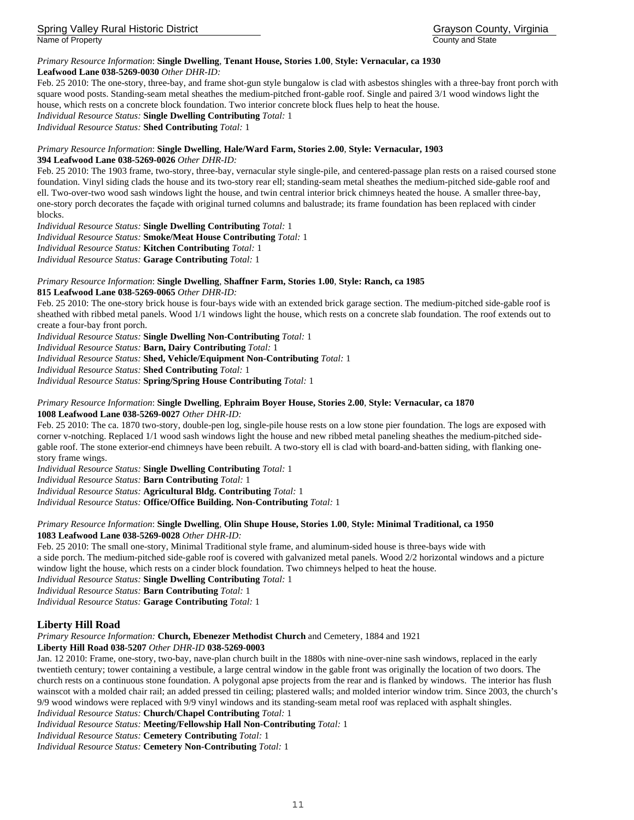Spring Valley Rural Historic District Grayson County, Virginia Name of Property **County and State** County and State County and State

#### *Primary Resource Information*: **Single Dwelling**, **Tenant House, Stories 1.00**, **Style: Vernacular, ca 1930 Leafwood Lane 038-5269-0030** *Other DHR-ID:*

Feb. 25 2010: The one-story, three-bay, and frame shot-gun style bungalow is clad with asbestos shingles with a three-bay front porch with square wood posts. Standing-seam metal sheathes the medium-pitched front-gable roof. Single and paired 3/1 wood windows light the house, which rests on a concrete block foundation. Two interior concrete block flues help to heat the house.

*Individual Resource Status:* **Single Dwelling Contributing** *Total:* 1

*Individual Resource Status:* **Shed Contributing** *Total:* 1

### *Primary Resource Information*: **Single Dwelling**, **Hale/Ward Farm, Stories 2.00**, **Style: Vernacular, 1903 394 Leafwood Lane 038-5269-0026** *Other DHR-ID:*

Feb. 25 2010: The 1903 frame, two-story, three-bay, vernacular style single-pile, and centered-passage plan rests on a raised coursed stone foundation. Vinyl siding clads the house and its two-story rear ell; standing-seam metal sheathes the medium-pitched side-gable roof and ell. Two-over-two wood sash windows light the house, and twin central interior brick chimneys heated the house. A smaller three-bay, one-story porch decorates the façade with original turned columns and balustrade; its frame foundation has been replaced with cinder blocks.

*Individual Resource Status:* **Single Dwelling Contributing** *Total:* 1

*Individual Resource Status:* **Smoke/Meat House Contributing** *Total:* 1 *Individual Resource Status:* **Kitchen Contributing** *Total:* 1

*Individual Resource Status:* **Garage Contributing** *Total:* 1

*Primary Resource Information*: **Single Dwelling**, **Shaffner Farm, Stories 1.00**, **Style: Ranch, ca 1985 815 Leafwood Lane 038-5269-0065** *Other DHR-ID:* 

Feb. 25 2010: The one-story brick house is four-bays wide with an extended brick garage section. The medium-pitched side-gable roof is sheathed with ribbed metal panels. Wood 1/1 windows light the house, which rests on a concrete slab foundation. The roof extends out to create a four-bay front porch.

*Individual Resource Status:* **Single Dwelling Non-Contributing** *Total:* 1

*Individual Resource Status:* **Barn, Dairy Contributing** *Total:* 1

*Individual Resource Status:* **Shed, Vehicle/Equipment Non-Contributing** *Total:* 1

*Individual Resource Status:* **Shed Contributing** *Total:* 1

*Individual Resource Status:* **Spring/Spring House Contributing** *Total:* 1

#### *Primary Resource Information*: **Single Dwelling**, **Ephraim Boyer House, Stories 2.00**, **Style: Vernacular, ca 1870 1008 Leafwood Lane 038-5269-0027** *Other DHR-ID:*

Feb. 25 2010: The ca. 1870 two-story, double-pen log, single-pile house rests on a low stone pier foundation. The logs are exposed with corner v-notching. Replaced 1/1 wood sash windows light the house and new ribbed metal paneling sheathes the medium-pitched sidegable roof. The stone exterior-end chimneys have been rebuilt. A two-story ell is clad with board-and-batten siding, with flanking onestory frame wings.

*Individual Resource Status:* **Single Dwelling Contributing** *Total:* 1

*Individual Resource Status:* **Barn Contributing** *Total:* 1

*Individual Resource Status:* **Agricultural Bldg. Contributing** *Total:* 1

*Individual Resource Status:* **Office/Office Building. Non-Contributing** *Total:* 1

## *Primary Resource Information*: **Single Dwelling**, **Olin Shupe House, Stories 1.00**, **Style: Minimal Traditional, ca 1950 1083 Leafwood Lane 038-5269-0028** *Other DHR-ID:*

Feb. 25 2010: The small one-story, Minimal Traditional style frame, and aluminum-sided house is three-bays wide with a side porch. The medium-pitched side-gable roof is covered with galvanized metal panels. Wood 2/2 horizontal windows and a picture window light the house, which rests on a cinder block foundation. Two chimneys helped to heat the house.

*Individual Resource Status:* **Single Dwelling Contributing** *Total:* 1

*Individual Resource Status:* **Barn Contributing** *Total:* 1

*Individual Resource Status:* **Garage Contributing** *Total:* 1

## **Liberty Hill Road**

*Primary Resource Information:* **Church, Ebenezer Methodist Church** and Cemetery, 1884 and 1921

**Liberty Hill Road 038-5207** *Other DHR-ID* **038-5269-0003** 

Jan. 12 2010: Frame, one-story, two-bay, nave-plan church built in the 1880s with nine-over-nine sash windows, replaced in the early twentieth century; tower containing a vestibule, a large central window in the gable front was originally the location of two doors. The church rests on a continuous stone foundation. A polygonal apse projects from the rear and is flanked by windows. The interior has flush wainscot with a molded chair rail; an added pressed tin ceiling; plastered walls; and molded interior window trim. Since 2003, the church's 9/9 wood windows were replaced with 9/9 vinyl windows and its standing-seam metal roof was replaced with asphalt shingles.

*Individual Resource Status:* **Church/Chapel Contributing** *Total:* 1

*Individual Resource Status:* **Meeting/Fellowship Hall Non-Contributing** *Total:* 1

*Individual Resource Status:* **Cemetery Contributing** *Total:* 1

*Individual Resource Status:* **Cemetery Non-Contributing** *Total:* 1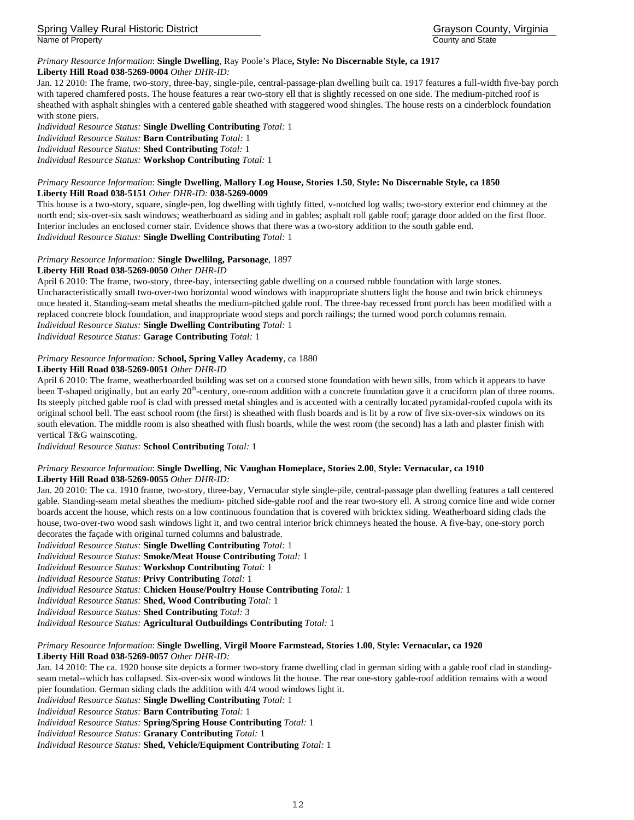## *Primary Resource Information*: **Single Dwelling**, Ray Poole's Place**, Style: No Discernable Style, ca 1917**

#### **Liberty Hill Road 038-5269-0004** *Other DHR-ID:*

Jan. 12 2010: The frame, two-story, three-bay, single-pile, central-passage-plan dwelling built ca. 1917 features a full-width five-bay porch with tapered chamfered posts. The house features a rear two-story ell that is slightly recessed on one side. The medium-pitched roof is sheathed with asphalt shingles with a centered gable sheathed with staggered wood shingles. The house rests on a cinderblock foundation with stone piers.

*Individual Resource Status:* **Single Dwelling Contributing** *Total:* 1 *Individual Resource Status:* **Barn Contributing** *Total:* 1

*Individual Resource Status:* **Shed Contributing** *Total:* 1

*Individual Resource Status:* **Workshop Contributing** *Total:* 1

#### *Primary Resource Information*: **Single Dwelling**, **Mallory Log House, Stories 1.50**, **Style: No Discernable Style, ca 1850 Liberty Hill Road 038-5151** *Other DHR-ID:* **038-5269-0009**

This house is a two-story, square, single-pen, log dwelling with tightly fitted, v-notched log walls; two-story exterior end chimney at the north end; six-over-six sash windows; weatherboard as siding and in gables; asphalt roll gable roof; garage door added on the first floor. Interior includes an enclosed corner stair. Evidence shows that there was a two-story addition to the south gable end. *Individual Resource Status:* **Single Dwelling Contributing** *Total:* 1

#### *Primary Resource Information:* **Single Dwellilng, Parsonage**, 1897

#### **Liberty Hill Road 038-5269-0050** *Other DHR-ID*

April 6 2010: The frame, two-story, three-bay, intersecting gable dwelling on a coursed rubble foundation with large stones. Uncharacteristically small two-over-two horizontal wood windows with inappropriate shutters light the house and twin brick chimneys once heated it. Standing-seam metal sheaths the medium-pitched gable roof. The three-bay recessed front porch has been modified with a replaced concrete block foundation, and inappropriate wood steps and porch railings; the turned wood porch columns remain. *Individual Resource Status:* **Single Dwelling Contributing** *Total:* 1

*Individual Resource Status:* **Garage Contributing** *Total:* 1

#### *Primary Resource Information:* **School, Spring Valley Academy**, ca 1880

#### **Liberty Hill Road 038-5269-0051** *Other DHR-ID*

April 6 2010: The frame, weatherboarded building was set on a coursed stone foundation with hewn sills, from which it appears to have been T-shaped originally, but an early 20<sup>th</sup>-century, one-room addition with a concrete foundation gave it a cruciform plan of three rooms. Its steeply pitched gable roof is clad with pressed metal shingles and is accented with a centrally located pyramidal-roofed cupola with its original school bell. The east school room (the first) is sheathed with flush boards and is lit by a row of five six-over-six windows on its south elevation. The middle room is also sheathed with flush boards, while the west room (the second) has a lath and plaster finish with vertical T&G wainscoting.

*Individual Resource Status:* **School Contributing** *Total:* 1

#### *Primary Resource Information*: **Single Dwelling**, **Nic Vaughan Homeplace, Stories 2.00**, **Style: Vernacular, ca 1910 Liberty Hill Road 038-5269-0055** *Other DHR-ID:*

Jan. 20 2010: The ca. 1910 frame, two-story, three-bay, Vernacular style single-pile, central-passage plan dwelling features a tall centered gable. Standing-seam metal sheathes the medium- pitched side-gable roof and the rear two-story ell. A strong cornice line and wide corner boards accent the house, which rests on a low continuous foundation that is covered with bricktex siding. Weatherboard siding clads the house, two-over-two wood sash windows light it, and two central interior brick chimneys heated the house. A five-bay, one-story porch decorates the façade with original turned columns and balustrade.

*Individual Resource Status:* **Single Dwelling Contributing** *Total:* 1 *Individual Resource Status:* **Smoke/Meat House Contributing** *Total:* 1 *Individual Resource Status:* **Workshop Contributing** *Total:* 1 *Individual Resource Status:* **Privy Contributing** *Total:* 1 *Individual Resource Status:* **Chicken House/Poultry House Contributing** *Total:* 1 *Individual Resource Status:* **Shed, Wood Contributing** *Total:* 1 *Individual Resource Status:* **Shed Contributing** *Total:* 3 *Individual Resource Status:* **Agricultural Outbuildings Contributing** *Total:* 1

#### *Primary Resource Information*: **Single Dwelling**, **Virgil Moore Farmstead, Stories 1.00**, **Style: Vernacular, ca 1920 Liberty Hill Road 038-5269-0057** *Other DHR-ID:*

Jan. 14 2010: The ca. 1920 house site depicts a former two-story frame dwelling clad in german siding with a gable roof clad in standingseam metal--which has collapsed. Six-over-six wood windows lit the house. The rear one-story gable-roof addition remains with a wood

pier foundation. German siding clads the addition with 4/4 wood windows light it.

*Individual Resource Status:* **Single Dwelling Contributing** *Total:* 1

*Individual Resource Status:* **Barn Contributing** *Total:* 1

*Individual Resource Status:* **Spring/Spring House Contributing** *Total:* 1

*Individual Resource Status:* **Granary Contributing** *Total:* 1

*Individual Resource Status:* **Shed, Vehicle/Equipment Contributing** *Total:* 1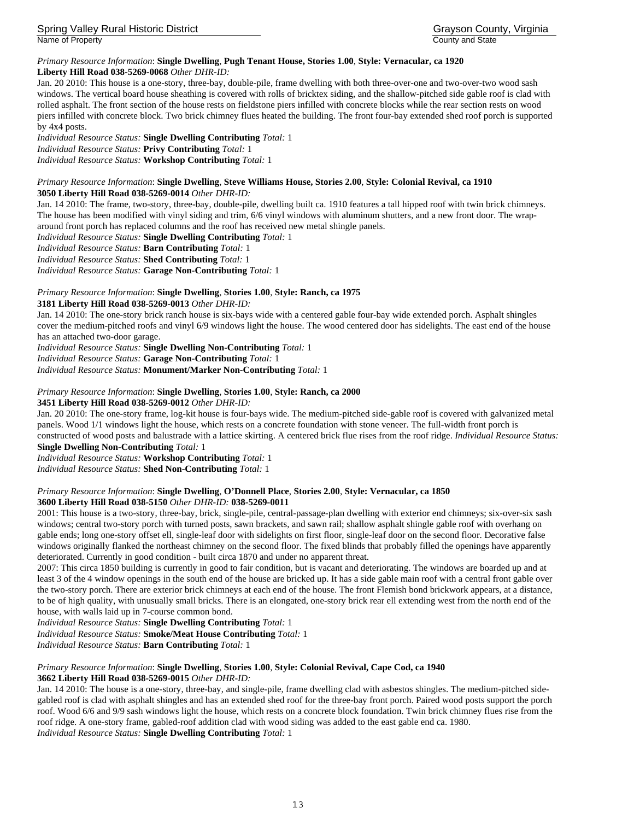Spring Valley Rural Historic District Grayson County, Virginia Name of Property **County and State** County and State County and State

#### *Primary Resource Information*: **Single Dwelling**, **Pugh Tenant House, Stories 1.00**, **Style: Vernacular, ca 1920 Liberty Hill Road 038-5269-0068** *Other DHR-ID:*

Jan. 20 2010: This house is a one-story, three-bay, double-pile, frame dwelling with both three-over-one and two-over-two wood sash windows. The vertical board house sheathing is covered with rolls of bricktex siding, and the shallow-pitched side gable roof is clad with rolled asphalt. The front section of the house rests on fieldstone piers infilled with concrete blocks while the rear section rests on wood piers infilled with concrete block. Two brick chimney flues heated the building. The front four-bay extended shed roof porch is supported by 4x4 posts.

*Individual Resource Status:* **Single Dwelling Contributing** *Total:* 1 *Individual Resource Status:* **Privy Contributing** *Total:* 1 *Individual Resource Status:* **Workshop Contributing** *Total:* 1

#### *Primary Resource Information*: **Single Dwelling**, **Steve Williams House, Stories 2.00**, **Style: Colonial Revival, ca 1910 3050 Liberty Hill Road 038-5269-0014** *Other DHR-ID:*

Jan. 14 2010: The frame, two-story, three-bay, double-pile, dwelling built ca. 1910 features a tall hipped roof with twin brick chimneys. The house has been modified with vinyl siding and trim, 6/6 vinyl windows with aluminum shutters, and a new front door. The wraparound front porch has replaced columns and the roof has received new metal shingle panels.

*Individual Resource Status:* **Single Dwelling Contributing** *Total:* 1

*Individual Resource Status:* **Barn Contributing** *Total:* 1

*Individual Resource Status:* **Shed Contributing** *Total:* 1

*Individual Resource Status:* **Garage Non-Contributing** *Total:* 1

## *Primary Resource Information*: **Single Dwelling**, **Stories 1.00**, **Style: Ranch, ca 1975**

**3181 Liberty Hill Road 038-5269-0013** *Other DHR-ID:* 

Jan. 14 2010: The one-story brick ranch house is six-bays wide with a centered gable four-bay wide extended porch. Asphalt shingles cover the medium-pitched roofs and vinyl 6/9 windows light the house. The wood centered door has sidelights. The east end of the house has an attached two-door garage.

*Individual Resource Status:* **Single Dwelling Non-Contributing** *Total:* 1

*Individual Resource Status:* **Garage Non-Contributing** *Total:* 1

*Individual Resource Status:* **Monument/Marker Non-Contributing** *Total:* 1

## *Primary Resource Information*: **Single Dwelling**, **Stories 1.00**, **Style: Ranch, ca 2000**

**3451 Liberty Hill Road 038-5269-0012** *Other DHR-ID:* 

Jan. 20 2010: The one-story frame, log-kit house is four-bays wide. The medium-pitched side-gable roof is covered with galvanized metal panels. Wood 1/1 windows light the house, which rests on a concrete foundation with stone veneer. The full-width front porch is constructed of wood posts and balustrade with a lattice skirting. A centered brick flue rises from the roof ridge. *Individual Resource Status:*  **Single Dwelling Non-Contributing** *Total:* 1

*Individual Resource Status:* **Workshop Contributing** *Total:* 1

*Individual Resource Status:* **Shed Non-Contributing** *Total:* 1

#### *Primary Resource Information*: **Single Dwelling**, **O'Donnell Place**, **Stories 2.00**, **Style: Vernacular, ca 1850 3600 Liberty Hill Road 038-5150** *Other DHR-ID:* **038-5269-0011**

2001: This house is a two-story, three-bay, brick, single-pile, central-passage-plan dwelling with exterior end chimneys; six-over-six sash windows; central two-story porch with turned posts, sawn brackets, and sawn rail; shallow asphalt shingle gable roof with overhang on gable ends; long one-story offset ell, single-leaf door with sidelights on first floor, single-leaf door on the second floor. Decorative false windows originally flanked the northeast chimney on the second floor. The fixed blinds that probably filled the openings have apparently deteriorated. Currently in good condition - built circa 1870 and under no apparent threat.

2007: This circa 1850 building is currently in good to fair condition, but is vacant and deteriorating. The windows are boarded up and at least 3 of the 4 window openings in the south end of the house are bricked up. It has a side gable main roof with a central front gable over the two-story porch. There are exterior brick chimneys at each end of the house. The front Flemish bond brickwork appears, at a distance, to be of high quality, with unusually small bricks. There is an elongated, one-story brick rear ell extending west from the north end of the house, with walls laid up in 7-course common bond.

*Individual Resource Status:* **Single Dwelling Contributing** *Total:* 1

*Individual Resource Status:* **Smoke/Meat House Contributing** *Total:* 1

*Individual Resource Status:* **Barn Contributing** *Total:* 1

## *Primary Resource Information*: **Single Dwelling**, **Stories 1.00**, **Style: Colonial Revival, Cape Cod, ca 1940**

**3662 Liberty Hill Road 038-5269-0015** *Other DHR-ID:* 

Jan. 14 2010: The house is a one-story, three-bay, and single-pile, frame dwelling clad with asbestos shingles. The medium-pitched sidegabled roof is clad with asphalt shingles and has an extended shed roof for the three-bay front porch. Paired wood posts support the porch roof. Wood 6/6 and 9/9 sash windows light the house, which rests on a concrete block foundation. Twin brick chimney flues rise from the roof ridge. A one-story frame, gabled-roof addition clad with wood siding was added to the east gable end ca. 1980. *Individual Resource Status:* **Single Dwelling Contributing** *Total:* 1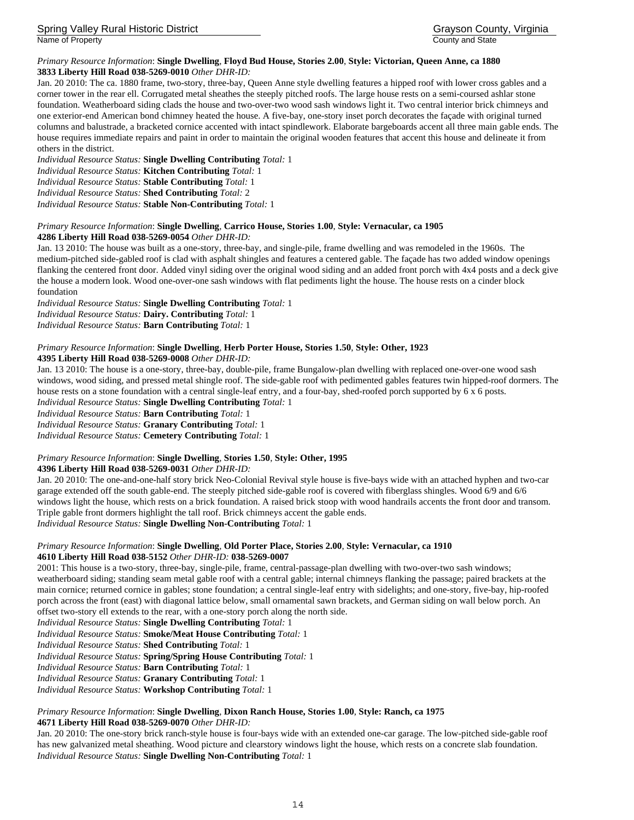Spring Valley Rural Historic District Grayson County, Virginia Name of Property **County and State** 

#### *Primary Resource Information*: **Single Dwelling**, **Floyd Bud House, Stories 2.00**, **Style: Victorian, Queen Anne, ca 1880 3833 Liberty Hill Road 038-5269-0010** *Other DHR-ID:*

Jan. 20 2010: The ca. 1880 frame, two-story, three-bay, Queen Anne style dwelling features a hipped roof with lower cross gables and a corner tower in the rear ell. Corrugated metal sheathes the steeply pitched roofs. The large house rests on a semi-coursed ashlar stone foundation. Weatherboard siding clads the house and two-over-two wood sash windows light it. Two central interior brick chimneys and one exterior-end American bond chimney heated the house. A five-bay, one-story inset porch decorates the façade with original turned columns and balustrade, a bracketed cornice accented with intact spindlework. Elaborate bargeboards accent all three main gable ends. The house requires immediate repairs and paint in order to maintain the original wooden features that accent this house and delineate it from others in the district.

*Individual Resource Status:* **Single Dwelling Contributing** *Total:* 1

*Individual Resource Status:* **Kitchen Contributing** *Total:* 1

*Individual Resource Status:* **Stable Contributing** *Total:* 1

*Individual Resource Status:* **Shed Contributing** *Total:* 2

*Individual Resource Status:* **Stable Non-Contributing** *Total:* 1

## *Primary Resource Information*: **Single Dwelling**, **Carrico House, Stories 1.00**, **Style: Vernacular, ca 1905**

**4286 Liberty Hill Road 038-5269-0054** *Other DHR-ID:* 

Jan. 13 2010: The house was built as a one-story, three-bay, and single-pile, frame dwelling and was remodeled in the 1960s. The medium-pitched side-gabled roof is clad with asphalt shingles and features a centered gable. The façade has two added window openings flanking the centered front door. Added vinyl siding over the original wood siding and an added front porch with 4x4 posts and a deck give the house a modern look. Wood one-over-one sash windows with flat pediments light the house. The house rests on a cinder block foundation

*Individual Resource Status:* **Single Dwelling Contributing** *Total:* 1 *Individual Resource Status:* **Dairy. Contributing** *Total:* 1 *Individual Resource Status:* **Barn Contributing** *Total:* 1

## *Primary Resource Information*: **Single Dwelling**, **Herb Porter House, Stories 1.50**, **Style: Other, 1923**

## **4395 Liberty Hill Road 038-5269-0008** *Other DHR-ID:*

Jan. 13 2010: The house is a one-story, three-bay, double-pile, frame Bungalow-plan dwelling with replaced one-over-one wood sash windows, wood siding, and pressed metal shingle roof. The side-gable roof with pedimented gables features twin hipped-roof dormers. The house rests on a stone foundation with a central single-leaf entry, and a four-bay, shed-roofed porch supported by 6 x 6 posts.

*Individual Resource Status:* **Single Dwelling Contributing** *Total:* 1

*Individual Resource Status:* **Barn Contributing** *Total:* 1

*Individual Resource Status:* **Granary Contributing** *Total:* 1

*Individual Resource Status:* **Cemetery Contributing** *Total:* 1

## *Primary Resource Information*: **Single Dwelling**, **Stories 1.50**, **Style: Other, 1995**

## **4396 Liberty Hill Road 038-5269-0031** *Other DHR-ID:*

Jan. 20 2010: The one-and-one-half story brick Neo-Colonial Revival style house is five-bays wide with an attached hyphen and two-car garage extended off the south gable-end. The steeply pitched side-gable roof is covered with fiberglass shingles. Wood 6/9 and 6/6 windows light the house, which rests on a brick foundation. A raised brick stoop with wood handrails accents the front door and transom. Triple gable front dormers highlight the tall roof. Brick chimneys accent the gable ends.

*Individual Resource Status:* **Single Dwelling Non-Contributing** *Total:* 1

#### *Primary Resource Information*: **Single Dwelling**, **Old Porter Place, Stories 2.00**, **Style: Vernacular, ca 1910 4610 Liberty Hill Road 038-5152** *Other DHR-ID:* **038-5269-0007**

2001: This house is a two-story, three-bay, single-pile, frame, central-passage-plan dwelling with two-over-two sash windows; weatherboard siding; standing seam metal gable roof with a central gable; internal chimneys flanking the passage; paired brackets at the main cornice; returned cornice in gables; stone foundation; a central single-leaf entry with sidelights; and one-story, five-bay, hip-roofed porch across the front (east) with diagonal lattice below, small ornamental sawn brackets, and German siding on wall below porch. An offset two-story ell extends to the rear, with a one-story porch along the north side.

*Individual Resource Status:* **Single Dwelling Contributing** *Total:* 1

*Individual Resource Status:* **Smoke/Meat House Contributing** *Total:* 1

*Individual Resource Status:* **Shed Contributing** *Total:* 1

*Individual Resource Status:* **Spring/Spring House Contributing** *Total:* 1

*Individual Resource Status:* **Barn Contributing** *Total:* 1

*Individual Resource Status:* **Granary Contributing** *Total:* 1

*Individual Resource Status:* **Workshop Contributing** *Total:* 1

## *Primary Resource Information*: **Single Dwelling**, **Dixon Ranch House, Stories 1.00**, **Style: Ranch, ca 1975**

**4671 Liberty Hill Road 038-5269-0070** *Other DHR-ID:* 

Jan. 20 2010: The one-story brick ranch-style house is four-bays wide with an extended one-car garage. The low-pitched side-gable roof has new galvanized metal sheathing. Wood picture and clearstory windows light the house, which rests on a concrete slab foundation. *Individual Resource Status:* **Single Dwelling Non-Contributing** *Total:* 1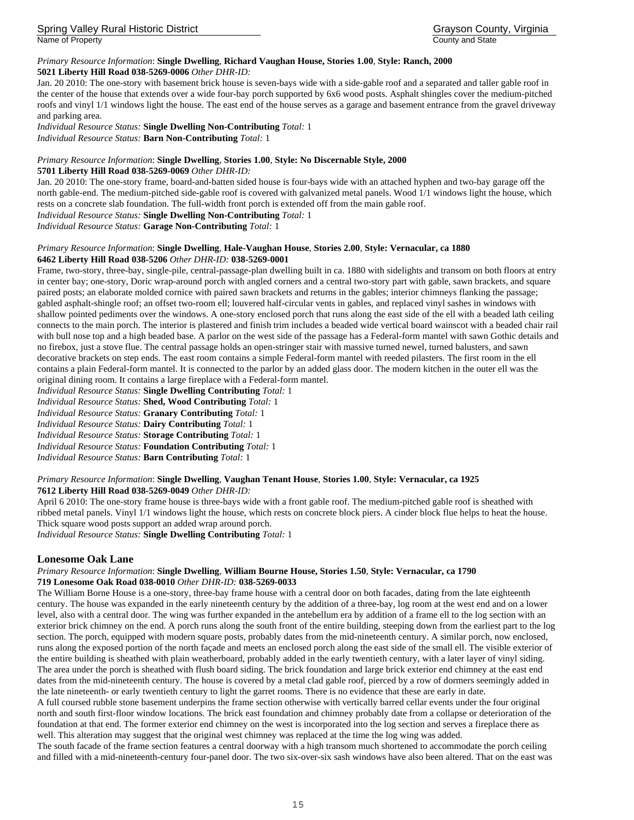Spring Valley Rural Historic District Grayson County, Virginia Name of Property **County and State** County and State

#### *Primary Resource Information*: **Single Dwelling**, **Richard Vaughan House, Stories 1.00**, **Style: Ranch, 2000 5021 Liberty Hill Road 038-5269-0006** *Other DHR-ID:*

Jan. 20 2010: The one-story with basement brick house is seven-bays wide with a side-gable roof and a separated and taller gable roof in the center of the house that extends over a wide four-bay porch supported by 6x6 wood posts. Asphalt shingles cover the medium-pitched roofs and vinyl 1/1 windows light the house. The east end of the house serves as a garage and basement entrance from the gravel driveway and parking area.

*Individual Resource Status:* **Single Dwelling Non-Contributing** *Total:* 1 *Individual Resource Status:* **Barn Non-Contributing** *Total:* 1

## *Primary Resource Information*: **Single Dwelling**, **Stories 1.00**, **Style: No Discernable Style, 2000**

**5701 Liberty Hill Road 038-5269-0069** *Other DHR-ID:* 

Jan. 20 2010: The one-story frame, board-and-batten sided house is four-bays wide with an attached hyphen and two-bay garage off the north gable-end. The medium-pitched side-gable roof is covered with galvanized metal panels. Wood 1/1 windows light the house, which rests on a concrete slab foundation. The full-width front porch is extended off from the main gable roof.

*Individual Resource Status:* **Single Dwelling Non-Contributing** *Total:* 1

*Individual Resource Status:* **Garage Non-Contributing** *Total:* 1

#### *Primary Resource Information*: **Single Dwelling**, **Hale-Vaughan House**, **Stories 2.00**, **Style: Vernacular, ca 1880 6462 Liberty Hill Road 038-5206** *Other DHR-ID:* **038-5269-0001**

Frame, two-story, three-bay, single-pile, central-passage-plan dwelling built in ca. 1880 with sidelights and transom on both floors at entry in center bay; one-story, Doric wrap-around porch with angled corners and a central two-story part with gable, sawn brackets, and square paired posts; an elaborate molded cornice with paired sawn brackets and returns in the gables; interior chimneys flanking the passage; gabled asphalt-shingle roof; an offset two-room ell; louvered half-circular vents in gables, and replaced vinyl sashes in windows with shallow pointed pediments over the windows. A one-story enclosed porch that runs along the east side of the ell with a beaded lath ceiling connects to the main porch. The interior is plastered and finish trim includes a beaded wide vertical board wainscot with a beaded chair rail with bull nose top and a high beaded base. A parlor on the west side of the passage has a Federal-form mantel with sawn Gothic details and no firebox, just a stove flue. The central passage holds an open-stringer stair with massive turned newel, turned balusters, and sawn decorative brackets on step ends. The east room contains a simple Federal-form mantel with reeded pilasters. The first room in the ell contains a plain Federal-form mantel. It is connected to the parlor by an added glass door. The modern kitchen in the outer ell was the original dining room. It contains a large fireplace with a Federal-form mantel.

*Individual Resource Status:* **Single Dwelling Contributing** *Total:* 1

*Individual Resource Status:* **Shed, Wood Contributing** *Total:* 1

*Individual Resource Status:* **Granary Contributing** *Total:* 1

*Individual Resource Status:* **Dairy Contributing** *Total:* 1

*Individual Resource Status:* **Storage Contributing** *Total:* 1

*Individual Resource Status:* **Foundation Contributing** *Total:* 1

*Individual Resource Status:* **Barn Contributing** *Total:* 1

#### *Primary Resource Information*: **Single Dwelling**, **Vaughan Tenant House**, **Stories 1.00**, **Style: Vernacular, ca 1925 7612 Liberty Hill Road 038-5269-0049** *Other DHR-ID:*

April 6 2010: The one-story frame house is three-bays wide with a front gable roof. The medium-pitched gable roof is sheathed with ribbed metal panels. Vinyl 1/1 windows light the house, which rests on concrete block piers. A cinder block flue helps to heat the house. Thick square wood posts support an added wrap around porch.

*Individual Resource Status:* **Single Dwelling Contributing** *Total:* 1

## **Lonesome Oak Lane**

#### *Primary Resource Information*: **Single Dwelling**, **William Bourne House, Stories 1.50**, **Style: Vernacular, ca 1790 719 Lonesome Oak Road 038-0010** *Other DHR-ID:* **038-5269-0033**

The William Borne House is a one-story, three-bay frame house with a central door on both facades, dating from the late eighteenth century. The house was expanded in the early nineteenth century by the addition of a three-bay, log room at the west end and on a lower level, also with a central door. The wing was further expanded in the antebellum era by addition of a frame ell to the log section with an exterior brick chimney on the end. A porch runs along the south front of the entire building, steeping down from the earliest part to the log section. The porch, equipped with modern square posts, probably dates from the mid-nineteenth century. A similar porch, now enclosed, runs along the exposed portion of the north façade and meets an enclosed porch along the east side of the small ell. The visible exterior of the entire building is sheathed with plain weatherboard, probably added in the early twentieth century, with a later layer of vinyl siding. The area under the porch is sheathed with flush board siding. The brick foundation and large brick exterior end chimney at the east end dates from the mid-nineteenth century. The house is covered by a metal clad gable roof, pierced by a row of dormers seemingly added in the late nineteenth- or early twentieth century to light the garret rooms. There is no evidence that these are early in date.

A full coursed rubble stone basement underpins the frame section otherwise with vertically barred cellar events under the four original north and south first-floor window locations. The brick east foundation and chimney probably date from a collapse or deterioration of the foundation at that end. The former exterior end chimney on the west is incorporated into the log section and serves a fireplace there as well. This alteration may suggest that the original west chimney was replaced at the time the log wing was added.

The south facade of the frame section features a central doorway with a high transom much shortened to accommodate the porch ceiling and filled with a mid-nineteenth-century four-panel door. The two six-over-six sash windows have also been altered. That on the east was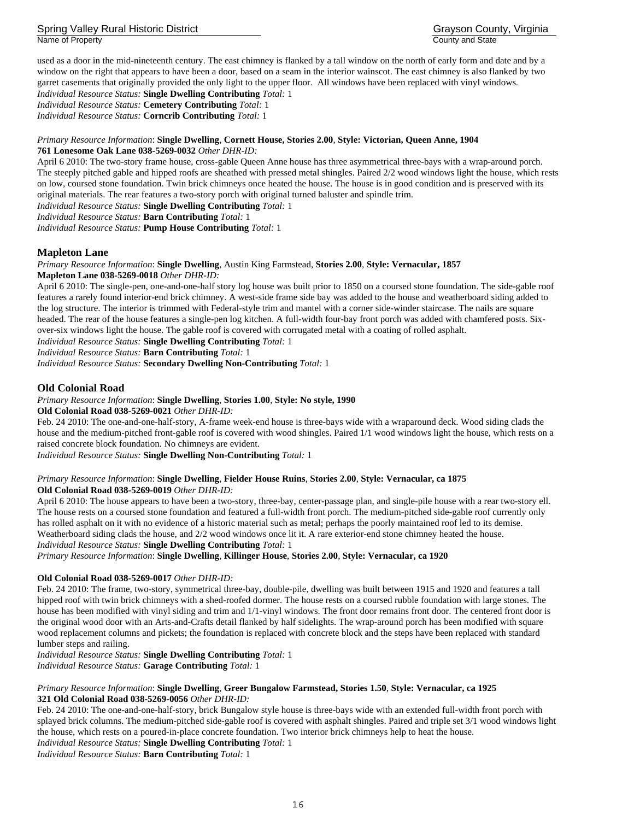Spring Valley Rural Historic District Grayson County, Virginia Name of Property **County and State** 

used as a door in the mid-nineteenth century. The east chimney is flanked by a tall window on the north of early form and date and by a window on the right that appears to have been a door, based on a seam in the interior wainscot. The east chimney is also flanked by two garret casements that originally provided the only light to the upper floor. All windows have been replaced with vinyl windows.

*Individual Resource Status:* **Single Dwelling Contributing** *Total:* 1 *Individual Resource Status:* **Cemetery Contributing** *Total:* 1 *Individual Resource Status:* **Corncrib Contributing** *Total:* 1

#### *Primary Resource Information*: **Single Dwelling**, **Cornett House, Stories 2.00**, **Style: Victorian, Queen Anne, 1904 761 Lonesome Oak Lane 038-5269-0032** *Other DHR-ID:*

April 6 2010: The two-story frame house, cross-gable Queen Anne house has three asymmetrical three-bays with a wrap-around porch. The steeply pitched gable and hipped roofs are sheathed with pressed metal shingles. Paired 2/2 wood windows light the house, which rests on low, coursed stone foundation. Twin brick chimneys once heated the house. The house is in good condition and is preserved with its original materials. The rear features a two-story porch with original turned baluster and spindle trim.

*Individual Resource Status:* **Single Dwelling Contributing** *Total:* 1

*Individual Resource Status:* **Barn Contributing** *Total:* 1

*Individual Resource Status:* **Pump House Contributing** *Total:* 1

## **Mapleton Lane**

*Primary Resource Information*: **Single Dwelling**, Austin King Farmstead, **Stories 2.00**, **Style: Vernacular, 1857 Mapleton Lane 038-5269-0018** *Other DHR-ID:* 

April 6 2010: The single-pen, one-and-one-half story log house was built prior to 1850 on a coursed stone foundation. The side-gable roof features a rarely found interior-end brick chimney. A west-side frame side bay was added to the house and weatherboard siding added to the log structure. The interior is trimmed with Federal-style trim and mantel with a corner side-winder staircase. The nails are square headed. The rear of the house features a single-pen log kitchen. A full-width four-bay front porch was added with chamfered posts. Sixover-six windows light the house. The gable roof is covered with corrugated metal with a coating of rolled asphalt.

*Individual Resource Status:* **Single Dwelling Contributing** *Total:* 1

*Individual Resource Status:* **Barn Contributing** *Total:* 1

*Individual Resource Status:* **Secondary Dwelling Non-Contributing** *Total:* 1

#### **Old Colonial Road**

#### *Primary Resource Information*: **Single Dwelling**, **Stories 1.00**, **Style: No style, 1990**

**Old Colonial Road 038-5269-0021** *Other DHR-ID:* 

Feb. 24 2010: The one-and-one-half-story, A-frame week-end house is three-bays wide with a wraparound deck. Wood siding clads the house and the medium-pitched front-gable roof is covered with wood shingles. Paired 1/1 wood windows light the house, which rests on a raised concrete block foundation. No chimneys are evident.

*Individual Resource Status:* **Single Dwelling Non-Contributing** *Total:* 1

#### *Primary Resource Information*: **Single Dwelling**, **Fielder House Ruins**, **Stories 2.00**, **Style: Vernacular, ca 1875 Old Colonial Road 038-5269-0019** *Other DHR-ID:*

April 6 2010: The house appears to have been a two-story, three-bay, center-passage plan, and single-pile house with a rear two-story ell. The house rests on a coursed stone foundation and featured a full-width front porch. The medium-pitched side-gable roof currently only has rolled asphalt on it with no evidence of a historic material such as metal; perhaps the poorly maintained roof led to its demise. Weatherboard siding clads the house, and 2/2 wood windows once lit it. A rare exterior-end stone chimney heated the house. *Individual Resource Status:* **Single Dwelling Contributing** *Total:* 1

*Primary Resource Information*: **Single Dwelling**, **Killinger House**, **Stories 2.00**, **Style: Vernacular, ca 1920** 

#### **Old Colonial Road 038-5269-0017** *Other DHR-ID:*

Feb. 24 2010: The frame, two-story, symmetrical three-bay, double-pile, dwelling was built between 1915 and 1920 and features a tall hipped roof with twin brick chimneys with a shed-roofed dormer. The house rests on a coursed rubble foundation with large stones. The house has been modified with vinyl siding and trim and 1/1-vinyl windows. The front door remains front door. The centered front door is the original wood door with an Arts-and-Crafts detail flanked by half sidelights. The wrap-around porch has been modified with square wood replacement columns and pickets; the foundation is replaced with concrete block and the steps have been replaced with standard lumber steps and railing.

*Individual Resource Status:* **Single Dwelling Contributing** *Total:* 1

*Individual Resource Status:* **Garage Contributing** *Total:* 1

#### *Primary Resource Information*: **Single Dwelling**, **Greer Bungalow Farmstead, Stories 1.50**, **Style: Vernacular, ca 1925 321 Old Colonial Road 038-5269-0056** *Other DHR-ID:*

Feb. 24 2010: The one-and-one-half-story, brick Bungalow style house is three-bays wide with an extended full-width front porch with splayed brick columns. The medium-pitched side-gable roof is covered with asphalt shingles. Paired and triple set 3/1 wood windows light the house, which rests on a poured-in-place concrete foundation. Two interior brick chimneys help to heat the house.

*Individual Resource Status:* **Single Dwelling Contributing** *Total:* 1

*Individual Resource Status:* **Barn Contributing** *Total:* 1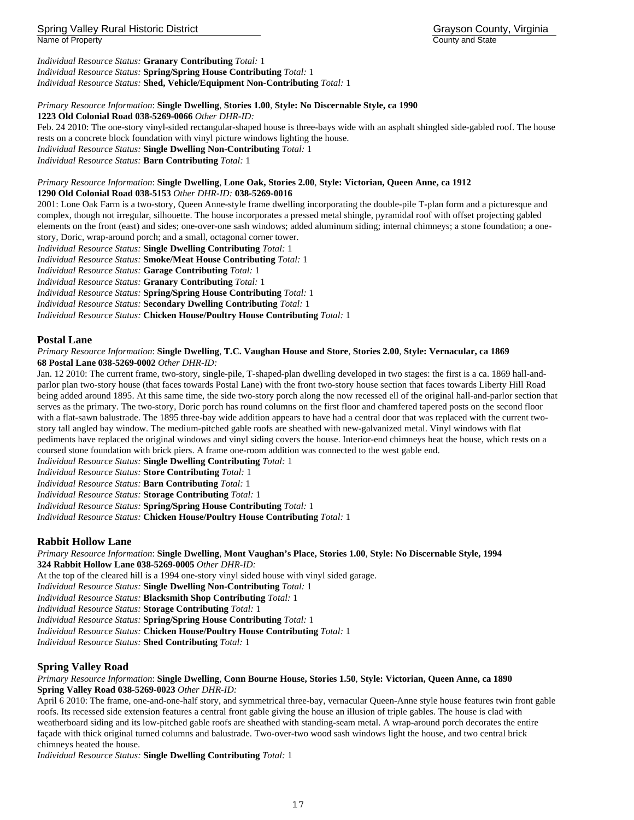## Spring Valley Rural Historic District Grayson County, Virginia Name of Property **County and State** County and State County and State County and State County and State County and State County and State County and State County and State County and State County and State County and State

*Individual Resource Status:* **Granary Contributing** *Total:* 1 *Individual Resource Status:* **Spring/Spring House Contributing** *Total:* 1 *Individual Resource Status:* **Shed, Vehicle/Equipment Non-Contributing** *Total:* 1

## *Primary Resource Information*: **Single Dwelling**, **Stories 1.00**, **Style: No Discernable Style, ca 1990**

**1223 Old Colonial Road 038-5269-0066** *Other DHR-ID:* 

Feb. 24 2010: The one-story vinyl-sided rectangular-shaped house is three-bays wide with an asphalt shingled side-gabled roof. The house rests on a concrete block foundation with vinyl picture windows lighting the house. *Individual Resource Status:* **Single Dwelling Non-Contributing** *Total:* 1

*Individual Resource Status:* **Barn Contributing** *Total:* 1

#### *Primary Resource Information*: **Single Dwelling**, **Lone Oak, Stories 2.00**, **Style: Victorian, Queen Anne, ca 1912 1290 Old Colonial Road 038-5153** *Other DHR-ID:* **038-5269-0016**

2001: Lone Oak Farm is a two-story, Queen Anne-style frame dwelling incorporating the double-pile T-plan form and a picturesque and complex, though not irregular, silhouette. The house incorporates a pressed metal shingle, pyramidal roof with offset projecting gabled elements on the front (east) and sides; one-over-one sash windows; added aluminum siding; internal chimneys; a stone foundation; a onestory, Doric, wrap-around porch; and a small, octagonal corner tower.

*Individual Resource Status:* **Single Dwelling Contributing** *Total:* 1

*Individual Resource Status:* **Smoke/Meat House Contributing** *Total:* 1

*Individual Resource Status:* **Garage Contributing** *Total:* 1

*Individual Resource Status:* **Granary Contributing** *Total:* 1

*Individual Resource Status:* **Spring/Spring House Contributing** *Total:* 1

*Individual Resource Status:* **Secondary Dwelling Contributing** *Total:* 1

*Individual Resource Status:* **Chicken House/Poultry House Contributing** *Total:* 1

## **Postal Lane**

#### *Primary Resource Information*: **Single Dwelling**, **T.C. Vaughan House and Store**, **Stories 2.00**, **Style: Vernacular, ca 1869 68 Postal Lane 038-5269-0002** *Other DHR-ID:*

Jan. 12 2010: The current frame, two-story, single-pile, T-shaped-plan dwelling developed in two stages: the first is a ca. 1869 hall-andparlor plan two-story house (that faces towards Postal Lane) with the front two-story house section that faces towards Liberty Hill Road being added around 1895. At this same time, the side two-story porch along the now recessed ell of the original hall-and-parlor section that serves as the primary. The two-story, Doric porch has round columns on the first floor and chamfered tapered posts on the second floor with a flat-sawn balustrade. The 1895 three-bay wide addition appears to have had a central door that was replaced with the current twostory tall angled bay window. The medium-pitched gable roofs are sheathed with new-galvanized metal. Vinyl windows with flat pediments have replaced the original windows and vinyl siding covers the house. Interior-end chimneys heat the house, which rests on a coursed stone foundation with brick piers. A frame one-room addition was connected to the west gable end.

*Individual Resource Status:* **Single Dwelling Contributing** *Total:* 1

*Individual Resource Status:* **Store Contributing** *Total:* 1

*Individual Resource Status:* **Barn Contributing** *Total:* 1

*Individual Resource Status:* **Storage Contributing** *Total:* 1

*Individual Resource Status:* **Spring/Spring House Contributing** *Total:* 1

*Individual Resource Status:* **Chicken House/Poultry House Contributing** *Total:* 1

## **Rabbit Hollow Lane**

*Primary Resource Information*: **Single Dwelling**, **Mont Vaughan's Place, Stories 1.00**, **Style: No Discernable Style, 1994 324 Rabbit Hollow Lane 038-5269-0005** *Other DHR-ID:* 

At the top of the cleared hill is a 1994 one-story vinyl sided house with vinyl sided garage.

*Individual Resource Status:* **Single Dwelling Non-Contributing** *Total:* 1

*Individual Resource Status:* **Blacksmith Shop Contributing** *Total:* 1

*Individual Resource Status:* **Storage Contributing** *Total:* 1

*Individual Resource Status:* **Spring/Spring House Contributing** *Total:* 1

*Individual Resource Status:* **Chicken House/Poultry House Contributing** *Total:* 1

*Individual Resource Status:* **Shed Contributing** *Total:* 1

## **Spring Valley Road**

#### *Primary Resource Information*: **Single Dwelling**, **Conn Bourne House, Stories 1.50**, **Style: Victorian, Queen Anne, ca 1890 Spring Valley Road 038-5269-0023** *Other DHR-ID:*

April 6 2010: The frame, one-and-one-half story, and symmetrical three-bay, vernacular Queen-Anne style house features twin front gable roofs. Its recessed side extension features a central front gable giving the house an illusion of triple gables. The house is clad with weatherboard siding and its low-pitched gable roofs are sheathed with standing-seam metal. A wrap-around porch decorates the entire façade with thick original turned columns and balustrade. Two-over-two wood sash windows light the house, and two central brick chimneys heated the house.

*Individual Resource Status:* **Single Dwelling Contributing** *Total:* 1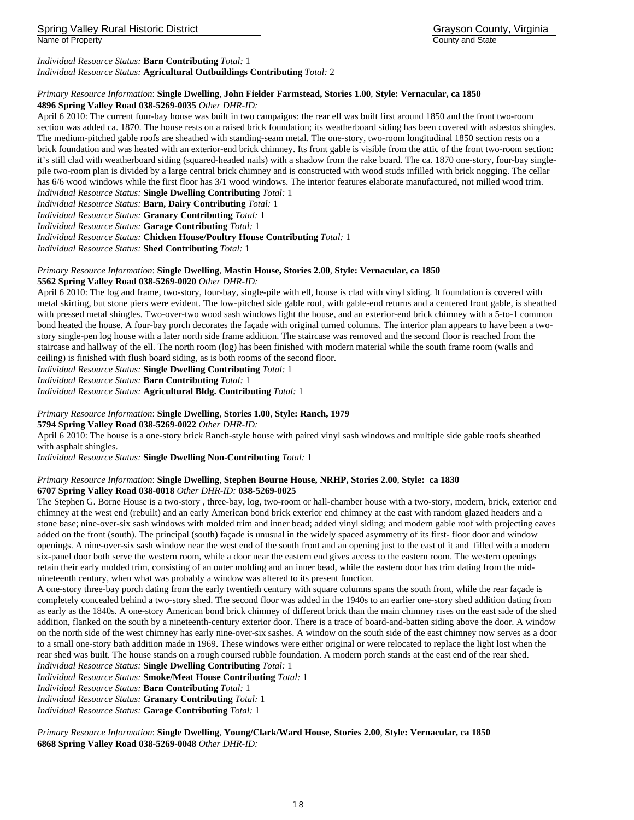Name of Property **County and State** County and State County and State County and State County and State County and State County and State County and State County and State County and State County and State County and State

#### *Individual Resource Status:* **Barn Contributing** *Total:* 1 *Individual Resource Status:* **Agricultural Outbuildings Contributing** *Total:* 2

## *Primary Resource Information*: **Single Dwelling**, **John Fielder Farmstead, Stories 1.00**, **Style: Vernacular, ca 1850**

## **4896 Spring Valley Road 038-5269-0035** *Other DHR-ID:*

April 6 2010: The current four-bay house was built in two campaigns: the rear ell was built first around 1850 and the front two-room section was added ca. 1870. The house rests on a raised brick foundation; its weatherboard siding has been covered with asbestos shingles. The medium-pitched gable roofs are sheathed with standing-seam metal. The one-story, two-room longitudinal 1850 section rests on a brick foundation and was heated with an exterior-end brick chimney. Its front gable is visible from the attic of the front two-room section: it's still clad with weatherboard siding (squared-headed nails) with a shadow from the rake board. The ca. 1870 one-story, four-bay singlepile two-room plan is divided by a large central brick chimney and is constructed with wood studs infilled with brick nogging. The cellar has 6/6 wood windows while the first floor has 3/1 wood windows. The interior features elaborate manufactured, not milled wood trim. *Individual Resource Status:* **Single Dwelling Contributing** *Total:* 1

*Individual Resource Status:* **Barn, Dairy Contributing** *Total:* 1

*Individual Resource Status:* **Granary Contributing** *Total:* 1

*Individual Resource Status:* **Garage Contributing** *Total:* 1

*Individual Resource Status:* **Chicken House/Poultry House Contributing** *Total:* 1

*Individual Resource Status:* **Shed Contributing** *Total:* 1

#### *Primary Resource Information*: **Single Dwelling**, **Mastin House, Stories 2.00**, **Style: Vernacular, ca 1850 5562 Spring Valley Road 038-5269-0020** *Other DHR-ID:*

April 6 2010: The log and frame, two-story, four-bay, single-pile with ell, house is clad with vinyl siding. It foundation is covered with metal skirting, but stone piers were evident. The low-pitched side gable roof, with gable-end returns and a centered front gable, is sheathed with pressed metal shingles. Two-over-two wood sash windows light the house, and an exterior-end brick chimney with a 5-to-1 common bond heated the house. A four-bay porch decorates the façade with original turned columns. The interior plan appears to have been a twostory single-pen log house with a later north side frame addition. The staircase was removed and the second floor is reached from the staircase and hallway of the ell. The north room (log) has been finished with modern material while the south frame room (walls and ceiling) is finished with flush board siding, as is both rooms of the second floor.

*Individual Resource Status:* **Single Dwelling Contributing** *Total:* 1

*Individual Resource Status:* **Barn Contributing** *Total:* 1

*Individual Resource Status:* **Agricultural Bldg. Contributing** *Total:* 1

#### *Primary Resource Information*: **Single Dwelling**, **Stories 1.00**, **Style: Ranch, 1979**

**5794 Spring Valley Road 038-5269-0022** *Other DHR-ID:* 

April 6 2010: The house is a one-story brick Ranch-style house with paired vinyl sash windows and multiple side gable roofs sheathed with asphalt shingles.

*Individual Resource Status:* **Single Dwelling Non-Contributing** *Total:* 1

#### *Primary Resource Information*: **Single Dwelling**, **Stephen Bourne House, NRHP, Stories 2.00**, **Style: ca 1830 6707 Spring Valley Road 038-0018** *Other DHR-ID:* **038-5269-0025**

The Stephen G. Borne House is a two-story , three-bay, log, two-room or hall-chamber house with a two-story, modern, brick, exterior end chimney at the west end (rebuilt) and an early American bond brick exterior end chimney at the east with random glazed headers and a stone base; nine-over-six sash windows with molded trim and inner bead; added vinyl siding; and modern gable roof with projecting eaves added on the front (south). The principal (south) façade is unusual in the widely spaced asymmetry of its first- floor door and window openings. A nine-over-six sash window near the west end of the south front and an opening just to the east of it and filled with a modern six-panel door both serve the western room, while a door near the eastern end gives access to the eastern room. The western openings retain their early molded trim, consisting of an outer molding and an inner bead, while the eastern door has trim dating from the midnineteenth century, when what was probably a window was altered to its present function.

A one-story three-bay porch dating from the early twentieth century with square columns spans the south front, while the rear façade is completely concealed behind a two-story shed. The second floor was added in the 1940s to an earlier one-story shed addition dating from as early as the 1840s. A one-story American bond brick chimney of different brick than the main chimney rises on the east side of the shed addition, flanked on the south by a nineteenth-century exterior door. There is a trace of board-and-batten siding above the door. A window on the north side of the west chimney has early nine-over-six sashes. A window on the south side of the east chimney now serves as a door to a small one-story bath addition made in 1969. These windows were either original or were relocated to replace the light lost when the rear shed was built. The house stands on a rough coursed rubble foundation. A modern porch stands at the east end of the rear shed.

## *Individual Resource Status:* **Single Dwelling Contributing** *Total:* 1

*Individual Resource Status:* **Smoke/Meat House Contributing** *Total:* 1

*Individual Resource Status:* **Barn Contributing** *Total:* 1

*Individual Resource Status:* **Granary Contributing** *Total:* 1

*Individual Resource Status:* **Garage Contributing** *Total:* 1

*Primary Resource Information*: **Single Dwelling**, **Young/Clark/Ward House, Stories 2.00**, **Style: Vernacular, ca 1850 6868 Spring Valley Road 038-5269-0048** *Other DHR-ID:*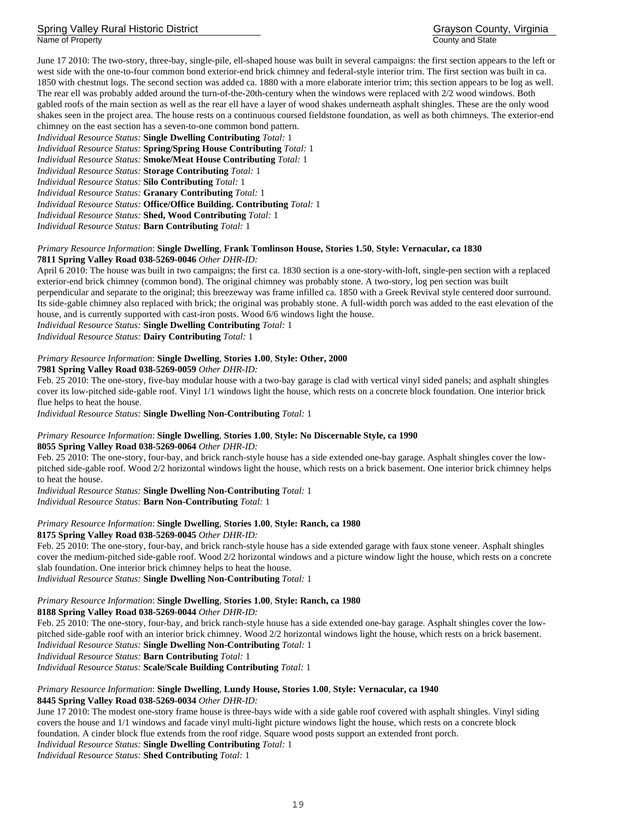Spring Valley Rural Historic District Grayson County, Virginia Name of Property **County and State** County and State County and State

June 17 2010: The two-story, three-bay, single-pile, ell-shaped house was built in several campaigns: the first section appears to the left or west side with the one-to-four common bond exterior-end brick chimney and federal-style interior trim. The first section was built in ca. 1850 with chestnut logs. The second section was added ca. 1880 with a more elaborate interior trim; this section appears to be log as well. The rear ell was probably added around the turn-of-the-20th-century when the windows were replaced with 2/2 wood windows. Both gabled roofs of the main section as well as the rear ell have a layer of wood shakes underneath asphalt shingles. These are the only wood shakes seen in the project area. The house rests on a continuous coursed fieldstone foundation, as well as both chimneys. The exterior-end chimney on the east section has a seven-to-one common bond pattern. *Individual Resource Status:* **Single Dwelling Contributing** *Total:* 1

*Individual Resource Status:* **Spring/Spring House Contributing** *Total:* 1

*Individual Resource Status:* **Smoke/Meat House Contributing** *Total:* 1

*Individual Resource Status:* **Storage Contributing** *Total:* 1

*Individual Resource Status:* **Silo Contributing** *Total:* 1

*Individual Resource Status:* **Granary Contributing** *Total:* 1

*Individual Resource Status:* **Office/Office Building. Contributing** *Total:* 1

*Individual Resource Status:* **Shed, Wood Contributing** *Total:* 1

*Individual Resource Status:* **Barn Contributing** *Total:* 1

## *Primary Resource Information*: **Single Dwelling**, **Frank Tomlinson House, Stories 1.50**, **Style: Vernacular, ca 1830 7811 Spring Valley Road 038-5269-0046** *Other DHR-ID:*

April 6 2010: The house was built in two campaigns; the first ca. 1830 section is a one-story-with-loft, single-pen section with a replaced exterior-end brick chimney (common bond). The original chimney was probably stone. A two-story, log pen section was built perpendicular and separate to the original; this breezeway was frame infilled ca. 1850 with a Greek Revival style centered door surround. Its side-gable chimney also replaced with brick; the original was probably stone. A full-width porch was added to the east elevation of the house, and is currently supported with cast-iron posts. Wood 6/6 windows light the house. *Individual Resource Status:* **Single Dwelling Contributing** *Total:* 1

*Individual Resource Status:* **Dairy Contributing** *Total:* 1

#### *Primary Resource Information*: **Single Dwelling**, **Stories 1.00**, **Style: Other, 2000**

**7981 Spring Valley Road 038-5269-0059** *Other DHR-ID:* 

Feb. 25 2010: The one-story, five-bay modular house with a two-bay garage is clad with vertical vinyl sided panels; and asphalt shingles cover its low-pitched side-gable roof. Vinyl 1/1 windows light the house, which rests on a concrete block foundation. One interior brick flue helps to heat the house.

*Individual Resource Status:* **Single Dwelling Non-Contributing** *Total:* 1

### *Primary Resource Information*: **Single Dwelling**, **Stories 1.00**, **Style: No Discernable Style, ca 1990 8055 Spring Valley Road 038-5269-0064** *Other DHR-ID:*

Feb. 25 2010: The one-story, four-bay, and brick ranch-style house has a side extended one-bay garage. Asphalt shingles cover the lowpitched side-gable roof. Wood 2/2 horizontal windows light the house, which rests on a brick basement. One interior brick chimney helps to heat the house.

*Individual Resource Status:* **Single Dwelling Non-Contributing** *Total:* 1 *Individual Resource Status:* **Barn Non-Contributing** *Total:* 1

#### *Primary Resource Information*: **Single Dwelling**, **Stories 1.00**, **Style: Ranch, ca 1980 8175 Spring Valley Road 038-5269-0045** *Other DHR-ID:*

Feb. 25 2010: The one-story, four-bay, and brick ranch-style house has a side extended garage with faux stone veneer. Asphalt shingles cover the medium-pitched side-gable roof. Wood 2/2 horizontal windows and a picture window light the house, which rests on a concrete slab foundation. One interior brick chimney helps to heat the house.

*Individual Resource Status:* **Single Dwelling Non-Contributing** *Total:* 1

## *Primary Resource Information*: **Single Dwelling**, **Stories 1.00**, **Style: Ranch, ca 1980**

**8188 Spring Valley Road 038-5269-0044** *Other DHR-ID:* 

Feb. 25 2010: The one-story, four-bay, and brick ranch-style house has a side extended one-bay garage. Asphalt shingles cover the lowpitched side-gable roof with an interior brick chimney. Wood 2/2 horizontal windows light the house, which rests on a brick basement. *Individual Resource Status:* **Single Dwelling Non-Contributing** *Total:* 1 *Individual Resource Status:* **Barn Contributing** *Total:* 1

*Individual Resource Status:* **Scale/Scale Building Contributing** *Total:* 1

#### *Primary Resource Information*: **Single Dwelling**, **Lundy House, Stories 1.00**, **Style: Vernacular, ca 1940 8445 Spring Valley Road 038-5269-0034** *Other DHR-ID:*

June 17 2010: The modest one-story frame house is three-bays wide with a side gable roof covered with asphalt shingles. Vinyl siding covers the house and 1/1 windows and facade vinyl multi-light picture windows light the house, which rests on a concrete block foundation. A cinder block flue extends from the roof ridge. Square wood posts support an extended front porch. *Individual Resource Status:* **Single Dwelling Contributing** *Total:* 1

*Individual Resource Status:* **Shed Contributing** *Total:* 1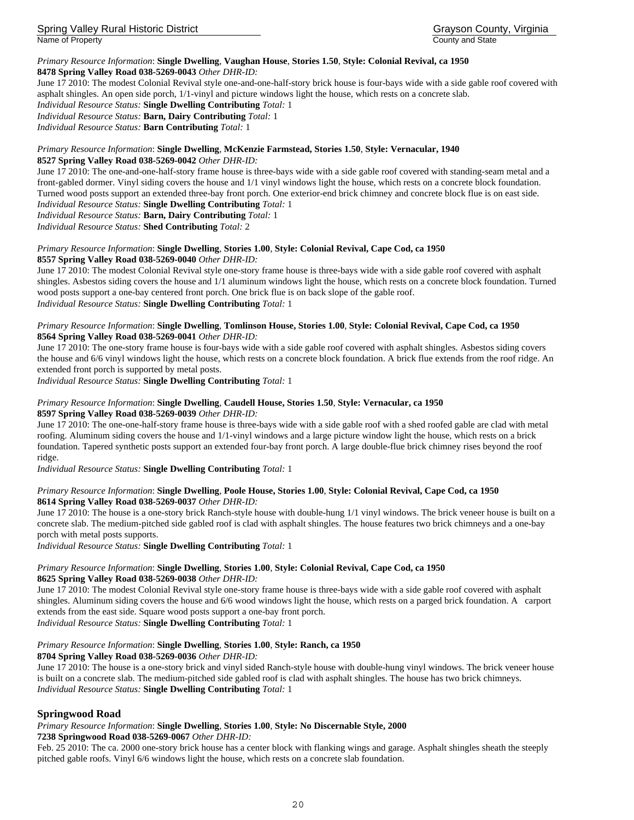Spring Valley Rural Historic District Grayson County, Virginia

Name of Property **County and State** County and State County and State

## *Primary Resource Information*: **Single Dwelling**, **Vaughan House**, **Stories 1.50**, **Style: Colonial Revival, ca 1950**

**8478 Spring Valley Road 038-5269-0043** *Other DHR-ID:* 

June 17 2010: The modest Colonial Revival style one-and-one-half-story brick house is four-bays wide with a side gable roof covered with asphalt shingles. An open side porch, 1/1-vinyl and picture windows light the house, which rests on a concrete slab.

*Individual Resource Status:* **Single Dwelling Contributing** *Total:* 1

*Individual Resource Status:* **Barn, Dairy Contributing** *Total:* 1

*Individual Resource Status:* **Barn Contributing** *Total:* 1

## *Primary Resource Information*: **Single Dwelling**, **McKenzie Farmstead, Stories 1.50**, **Style: Vernacular, 1940**

**8527 Spring Valley Road 038-5269-0042** *Other DHR-ID:* 

June 17 2010: The one-and-one-half-story frame house is three-bays wide with a side gable roof covered with standing-seam metal and a front-gabled dormer. Vinyl siding covers the house and 1/1 vinyl windows light the house, which rests on a concrete block foundation. Turned wood posts support an extended three-bay front porch. One exterior-end brick chimney and concrete block flue is on east side. *Individual Resource Status:* **Single Dwelling Contributing** *Total:* 1

*Individual Resource Status:* **Barn, Dairy Contributing** *Total:* 1

*Individual Resource Status:* **Shed Contributing** *Total:* 2

## *Primary Resource Information*: **Single Dwelling**, **Stories 1.00**, **Style: Colonial Revival, Cape Cod, ca 1950 8557 Spring Valley Road 038-5269-0040** *Other DHR-ID:*

June 17 2010: The modest Colonial Revival style one-story frame house is three-bays wide with a side gable roof covered with asphalt shingles. Asbestos siding covers the house and 1/1 aluminum windows light the house, which rests on a concrete block foundation. Turned wood posts support a one-bay centered front porch. One brick flue is on back slope of the gable roof. *Individual Resource Status:* **Single Dwelling Contributing** *Total:* 1

#### *Primary Resource Information*: **Single Dwelling**, **Tomlinson House, Stories 1.00**, **Style: Colonial Revival, Cape Cod, ca 1950 8564 Spring Valley Road 038-5269-0041** *Other DHR-ID:*

June 17 2010: The one-story frame house is four-bays wide with a side gable roof covered with asphalt shingles. Asbestos siding covers the house and 6/6 vinyl windows light the house, which rests on a concrete block foundation. A brick flue extends from the roof ridge. An extended front porch is supported by metal posts.

*Individual Resource Status:* **Single Dwelling Contributing** *Total:* 1

#### *Primary Resource Information*: **Single Dwelling**, **Caudell House, Stories 1.50**, **Style: Vernacular, ca 1950 8597 Spring Valley Road 038-5269-0039** *Other DHR-ID:*

June 17 2010: The one-one-half-story frame house is three-bays wide with a side gable roof with a shed roofed gable are clad with metal roofing. Aluminum siding covers the house and 1/1-vinyl windows and a large picture window light the house, which rests on a brick foundation. Tapered synthetic posts support an extended four-bay front porch. A large double-flue brick chimney rises beyond the roof ridge.

*Individual Resource Status:* **Single Dwelling Contributing** *Total:* 1

## *Primary Resource Information*: **Single Dwelling**, **Poole House, Stories 1.00**, **Style: Colonial Revival, Cape Cod, ca 1950 8614 Spring Valley Road 038-5269-0037** *Other DHR-ID:*

June 17 2010: The house is a one-story brick Ranch-style house with double-hung 1/1 vinyl windows. The brick veneer house is built on a concrete slab. The medium-pitched side gabled roof is clad with asphalt shingles. The house features two brick chimneys and a one-bay porch with metal posts supports.

*Individual Resource Status:* **Single Dwelling Contributing** *Total:* 1

#### *Primary Resource Information*: **Single Dwelling**, **Stories 1.00**, **Style: Colonial Revival, Cape Cod, ca 1950 8625 Spring Valley Road 038-5269-0038** *Other DHR-ID:*

June 17 2010: The modest Colonial Revival style one-story frame house is three-bays wide with a side gable roof covered with asphalt shingles. Aluminum siding covers the house and 6/6 wood windows light the house, which rests on a parged brick foundation. A carport extends from the east side. Square wood posts support a one-bay front porch.

*Individual Resource Status:* **Single Dwelling Contributing** *Total:* 1

## *Primary Resource Information*: **Single Dwelling**, **Stories 1.00**, **Style: Ranch, ca 1950**

**8704 Spring Valley Road 038-5269-0036** *Other DHR-ID:* 

June 17 2010: The house is a one-story brick and vinyl sided Ranch-style house with double-hung vinyl windows. The brick veneer house is built on a concrete slab. The medium-pitched side gabled roof is clad with asphalt shingles. The house has two brick chimneys. *Individual Resource Status:* **Single Dwelling Contributing** *Total:* 1

## **Springwood Road**

## *Primary Resource Information*: **Single Dwelling**, **Stories 1.00**, **Style: No Discernable Style, 2000**

**7238 Springwood Road 038-5269-0067** *Other DHR-ID:* 

Feb. 25 2010: The ca. 2000 one-story brick house has a center block with flanking wings and garage. Asphalt shingles sheath the steeply pitched gable roofs. Vinyl 6/6 windows light the house, which rests on a concrete slab foundation.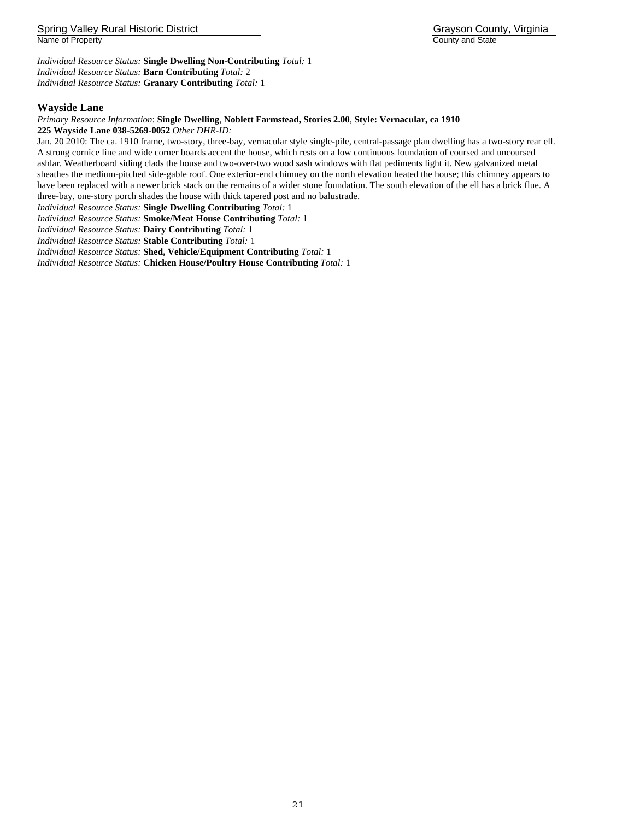*Individual Resource Status:* **Single Dwelling Non-Contributing** *Total:* 1 *Individual Resource Status:* **Barn Contributing** *Total:* 2 *Individual Resource Status:* **Granary Contributing** *Total:* 1

## **Wayside Lane**

## *Primary Resource Information*: **Single Dwelling**, **Noblett Farmstead, Stories 2.00**, **Style: Vernacular, ca 1910**

**225 Wayside Lane 038-5269-0052** *Other DHR-ID:* 

Jan. 20 2010: The ca. 1910 frame, two-story, three-bay, vernacular style single-pile, central-passage plan dwelling has a two-story rear ell. A strong cornice line and wide corner boards accent the house, which rests on a low continuous foundation of coursed and uncoursed ashlar. Weatherboard siding clads the house and two-over-two wood sash windows with flat pediments light it. New galvanized metal sheathes the medium-pitched side-gable roof. One exterior-end chimney on the north elevation heated the house; this chimney appears to have been replaced with a newer brick stack on the remains of a wider stone foundation. The south elevation of the ell has a brick flue. A three-bay, one-story porch shades the house with thick tapered post and no balustrade.

*Individual Resource Status:* **Single Dwelling Contributing** *Total:* 1

*Individual Resource Status:* **Smoke/Meat House Contributing** *Total:* 1

*Individual Resource Status:* **Dairy Contributing** *Total:* 1

*Individual Resource Status:* **Stable Contributing** *Total:* 1

*Individual Resource Status:* **Shed, Vehicle/Equipment Contributing** *Total:* 1

*Individual Resource Status:* **Chicken House/Poultry House Contributing** *Total:* 1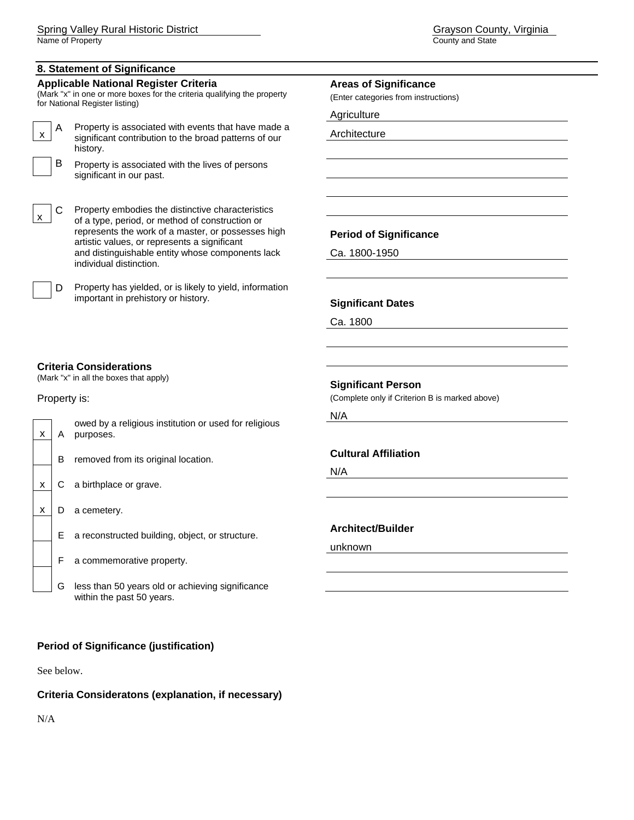## **8. Statement of Significance**

#### **Applicable National Register Criteria**

(Mark "x" in one or more boxes for the criteria qualifying the property for National Register listing)

A Property is associated with events that have made a significant contribution to the broad patterns of our history.

B Property is associated with the lives of persons significant in our past.

C Property embodies the distinctive characteristics of a type, period, or method of construction or represents the work of a master, or possesses high artistic values, or represents a significant and distinguishable entity whose components lack individual distinction.

D Property has yielded, or is likely to yield, information important in prehistory or history.

### **Areas of Significance**

(Enter categories from instructions)

Agriculture

Architecture

## **Period of Significance**

Ca. 1800-1950

## **Significant Dates**

Ca. 1800

## **Criteria Considerations**

(Mark "x" in all the boxes that apply)

## Property is:



F a commemorative property.

G less than 50 years old or achieving significance within the past 50 years.

## **Period of Significance (justification)**

See below.

## **Criteria Consideratons (explanation, if necessary)**

N/A

## **Significant Person**

(Complete only if Criterion B is marked above)

N/A

## **Cultural Affiliation**

N/A

## **Architect/Builder**

unknown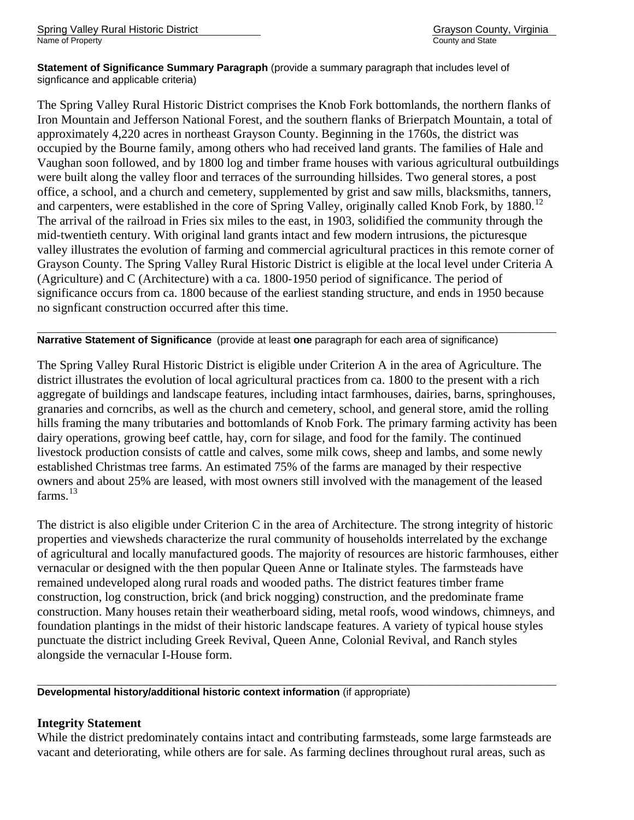**Statement of Significance Summary Paragraph** (provide a summary paragraph that includes level of signficance and applicable criteria)

The Spring Valley Rural Historic District comprises the Knob Fork bottomlands, the northern flanks of Iron Mountain and Jefferson National Forest, and the southern flanks of Brierpatch Mountain, a total of approximately 4,220 acres in northeast Grayson County. Beginning in the 1760s, the district was occupied by the Bourne family, among others who had received land grants. The families of Hale and Vaughan soon followed, and by 1800 log and timber frame houses with various agricultural outbuildings were built along the valley floor and terraces of the surrounding hillsides. Two general stores, a post office, a school, and a church and cemetery, supplemented by grist and saw mills, blacksmiths, tanners, and carpenters, were established in the core of Spring Valley, originally called Knob Fork, by  $1880$ .<sup>[12](#page-30-2)</sup> The arrival of the railroad in Fries six miles to the east, in 1903, solidified the community through the mid-twentieth century. With original land grants intact and few modern intrusions, the picturesque valley illustrates the evolution of farming and commercial agricultural practices in this remote corner of Grayson County. The Spring Valley Rural Historic District is eligible at the local level under Criteria A (Agriculture) and C (Architecture) with a ca. 1800-1950 period of significance. The period of significance occurs from ca. 1800 because of the earliest standing structure, and ends in 1950 because no signficant construction occurred after this time.

#### \_\_\_\_\_\_\_\_\_\_\_\_\_\_\_\_\_\_\_\_\_\_\_\_\_\_\_\_\_\_\_\_\_\_\_\_\_\_\_\_\_\_\_\_\_\_\_\_\_\_\_\_\_\_\_\_\_\_\_\_\_\_\_\_\_\_\_\_\_\_\_\_\_\_\_\_\_\_\_\_\_\_\_\_\_\_\_\_\_\_\_\_\_\_\_\_\_\_\_\_\_\_\_\_\_\_\_\_\_\_\_\_\_ **Narrative Statement of Significance** (provide at least **one** paragraph for each area of significance)

The Spring Valley Rural Historic District is eligible under Criterion A in the area of Agriculture. The district illustrates the evolution of local agricultural practices from ca. 1800 to the present with a rich aggregate of buildings and landscape features, including intact farmhouses, dairies, barns, springhouses, granaries and corncribs, as well as the church and cemetery, school, and general store, amid the rolling hills framing the many tributaries and bottomlands of Knob Fork. The primary farming activity has been dairy operations, growing beef cattle, hay, corn for silage, and food for the family. The continued livestock production consists of cattle and calves, some milk cows, sheep and lambs, and some newly established Christmas tree farms. An estimated 75% of the farms are managed by their respective owners and about 25% are leased, with most owners still involved with the management of the leased  $f$ arms.<sup>13</sup> $f$ arms.<sup>13</sup> $f$ arms.<sup>13</sup>

The district is also eligible under Criterion C in the area of Architecture. The strong integrity of historic properties and viewsheds characterize the rural community of households interrelated by the exchange of agricultural and locally manufactured goods. The majority of resources are historic farmhouses, either vernacular or designed with the then popular Queen Anne or Italinate styles. The farmsteads have remained undeveloped along rural roads and wooded paths. The district features timber frame construction, log construction, brick (and brick nogging) construction, and the predominate frame construction. Many houses retain their weatherboard siding, metal roofs, wood windows, chimneys, and foundation plantings in the midst of their historic landscape features. A variety of typical house styles punctuate the district including Greek Revival, Queen Anne, Colonial Revival, and Ranch styles alongside the vernacular I-House form.

## **Developmental history/additional historic context information** (if appropriate)

## **Integrity Statement**

While the district predominately contains intact and contributing farmsteads, some large farmsteads are vacant and deteriorating, while others are for sale. As farming declines throughout rural areas, such as

\_\_\_\_\_\_\_\_\_\_\_\_\_\_\_\_\_\_\_\_\_\_\_\_\_\_\_\_\_\_\_\_\_\_\_\_\_\_\_\_\_\_\_\_\_\_\_\_\_\_\_\_\_\_\_\_\_\_\_\_\_\_\_\_\_\_\_\_\_\_\_\_\_\_\_\_\_\_\_\_\_\_\_\_\_\_\_\_\_\_\_\_\_\_\_\_\_\_\_\_\_\_\_\_\_\_\_\_\_\_\_\_\_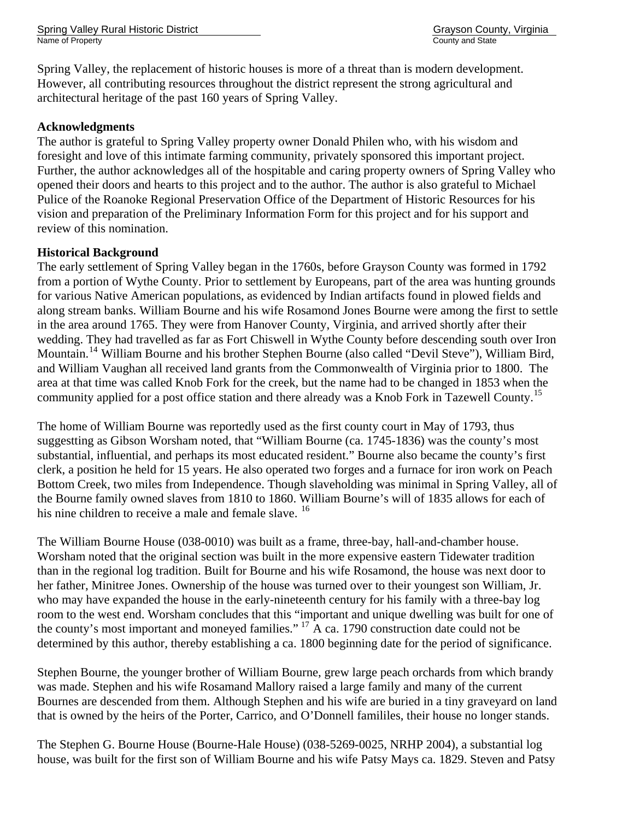Spring Valley Rural Historic District Grayson County, Virginia Name of Property County and State County and State County and State County and State County and State County and State County and State County and State County and State County and State County and State County and State C

Spring Valley, the replacement of historic houses is more of a threat than is modern development. However, all contributing resources throughout the district represent the strong agricultural and architectural heritage of the past 160 years of Spring Valley.

## **Acknowledgments**

The author is grateful to Spring Valley property owner Donald Philen who, with his wisdom and foresight and love of this intimate farming community, privately sponsored this important project. Further, the author acknowledges all of the hospitable and caring property owners of Spring Valley who opened their doors and hearts to this project and to the author. The author is also grateful to Michael Pulice of the Roanoke Regional Preservation Office of the Department of Historic Resources for his vision and preparation of the Preliminary Information Form for this project and for his support and review of this nomination.

## **Historical Background**

The early settlement of Spring Valley began in the 1760s, before Grayson County was formed in 1792 from a portion of Wythe County. Prior to settlement by Europeans, part of the area was hunting grounds for various Native American populations, as evidenced by Indian artifacts found in plowed fields and along stream banks. William Bourne and his wife Rosamond Jones Bourne were among the first to settle in the area around 1765. They were from Hanover County, Virginia, and arrived shortly after their wedding. They had travelled as far as Fort Chiswell in Wythe County before descending south over Iron Mountain.[14](#page-30-2) William Bourne and his brother Stephen Bourne (also called "Devil Steve"), William Bird, and William Vaughan all received land grants from the Commonwealth of Virginia prior to 1800. The area at that time was called Knob Fork for the creek, but the name had to be changed in 1853 when the community applied for a post office station and there already was a Knob Fork in Tazewell County.<sup>[15](#page-30-2)</sup>

The home of William Bourne was reportedly used as the first county court in May of 1793, thus suggestting as Gibson Worsham noted, that "William Bourne (ca. 1745-1836) was the county's most substantial, influential, and perhaps its most educated resident." Bourne also became the county's first clerk, a position he held for 15 years. He also operated two forges and a furnace for iron work on Peach Bottom Creek, two miles from Independence. Though slaveholding was minimal in Spring Valley, all of the Bourne family owned slaves from 1810 to 1860. William Bourne's will of 1835 allows for each of his nine children to receive a male and female slave. <sup>[16](#page-30-2)</sup>

The William Bourne House (038-0010) was built as a frame, three-bay, hall-and-chamber house. Worsham noted that the original section was built in the more expensive eastern Tidewater tradition than in the regional log tradition. Built for Bourne and his wife Rosamond, the house was next door to her father, Minitree Jones. Ownership of the house was turned over to their youngest son William, Jr. who may have expanded the house in the early-nineteenth century for his family with a three-bay log room to the west end. Worsham concludes that this "important and unique dwelling was built for one of the county's most important and moneyed families." [17](#page-30-2) A ca. 1790 construction date could not be determined by this author, thereby establishing a ca. 1800 beginning date for the period of significance.

Stephen Bourne, the younger brother of William Bourne, grew large peach orchards from which brandy was made. Stephen and his wife Rosamand Mallory raised a large family and many of the current Bournes are descended from them. Although Stephen and his wife are buried in a tiny graveyard on land that is owned by the heirs of the Porter, Carrico, and O'Donnell famililes, their house no longer stands.

The Stephen G. Bourne House (Bourne-Hale House) (038-5269-0025, NRHP 2004), a substantial log house, was built for the first son of William Bourne and his wife Patsy Mays ca. 1829. Steven and Patsy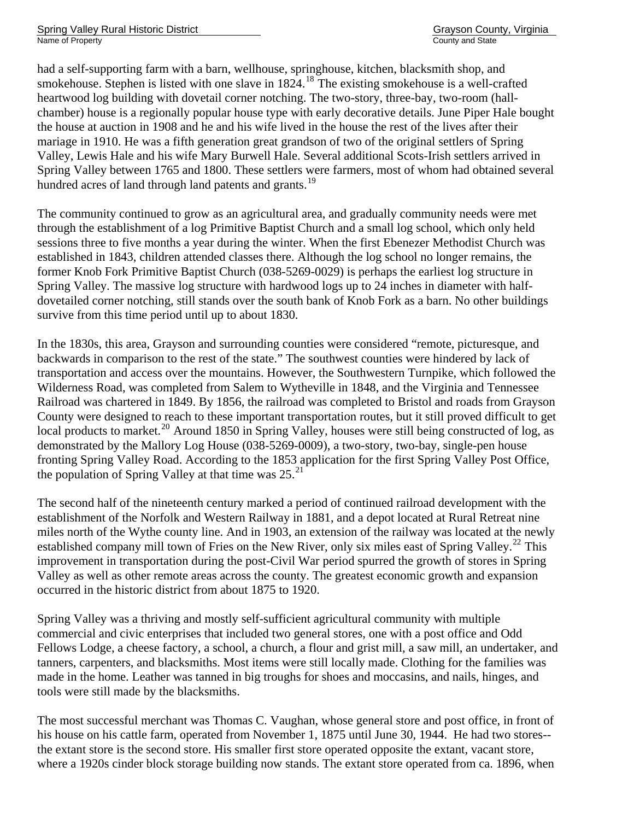had a self-supporting farm with a barn, wellhouse, springhouse, kitchen, blacksmith shop, and smokehouse. Stephen is listed with one slave in  $1824$  $1824$ .<sup>18</sup> The existing smokehouse is a well-crafted heartwood log building with dovetail corner notching. The two-story, three-bay, two-room (hallchamber) house is a regionally popular house type with early decorative details. June Piper Hale bought the house at auction in 1908 and he and his wife lived in the house the rest of the lives after their mariage in 1910. He was a fifth generation great grandson of two of the original settlers of Spring Valley, Lewis Hale and his wife Mary Burwell Hale. Several additional Scots-Irish settlers arrived in Spring Valley between 1765 and 1800. These settlers were farmers, most of whom had obtained several hundred acres of land through land patents and grants.<sup>[19](#page-30-2)</sup>

The community continued to grow as an agricultural area, and gradually community needs were met through the establishment of a log Primitive Baptist Church and a small log school, which only held sessions three to five months a year during the winter. When the first Ebenezer Methodist Church was established in 1843, children attended classes there. Although the log school no longer remains, the former Knob Fork Primitive Baptist Church (038-5269-0029) is perhaps the earliest log structure in Spring Valley. The massive log structure with hardwood logs up to 24 inches in diameter with halfdovetailed corner notching, still stands over the south bank of Knob Fork as a barn. No other buildings survive from this time period until up to about 1830.

In the 1830s, this area, Grayson and surrounding counties were considered "remote, picturesque, and backwards in comparison to the rest of the state." The southwest counties were hindered by lack of transportation and access over the mountains. However, the Southwestern Turnpike, which followed the Wilderness Road, was completed from Salem to Wytheville in 1848, and the Virginia and Tennessee Railroad was chartered in 1849. By 1856, the railroad was completed to Bristol and roads from Grayson County were designed to reach to these important transportation routes, but it still proved difficult to get local products to market.<sup>[20](#page-30-2)</sup> Around 1850 in Spring Valley, houses were still being constructed of log, as demonstrated by the Mallory Log House (038-5269-0009), a two-story, two-bay, single-pen house fronting Spring Valley Road. According to the 1853 application for the first Spring Valley Post Office, the population of Spring Valley at that time was  $25.^{21}$  $25.^{21}$  $25.^{21}$ 

The second half of the nineteenth century marked a period of continued railroad development with the establishment of the Norfolk and Western Railway in 1881, and a depot located at Rural Retreat nine miles north of the Wythe county line. And in 1903, an extension of the railway was located at the newly established company mill town of Fries on the New River, only six miles east of Spring Valley.<sup>[22](#page-30-2)</sup> This improvement in transportation during the post-Civil War period spurred the growth of stores in Spring Valley as well as other remote areas across the county. The greatest economic growth and expansion occurred in the historic district from about 1875 to 1920.

Spring Valley was a thriving and mostly self-sufficient agricultural community with multiple commercial and civic enterprises that included two general stores, one with a post office and Odd Fellows Lodge, a cheese factory, a school, a church, a flour and grist mill, a saw mill, an undertaker, and tanners, carpenters, and blacksmiths. Most items were still locally made. Clothing for the families was made in the home. Leather was tanned in big troughs for shoes and moccasins, and nails, hinges, and tools were still made by the blacksmiths.

The most successful merchant was Thomas C. Vaughan, whose general store and post office, in front of his house on his cattle farm, operated from November 1, 1875 until June 30, 1944. He had two stores- the extant store is the second store. His smaller first store operated opposite the extant, vacant store, where a 1920s cinder block storage building now stands. The extant store operated from ca. 1896, when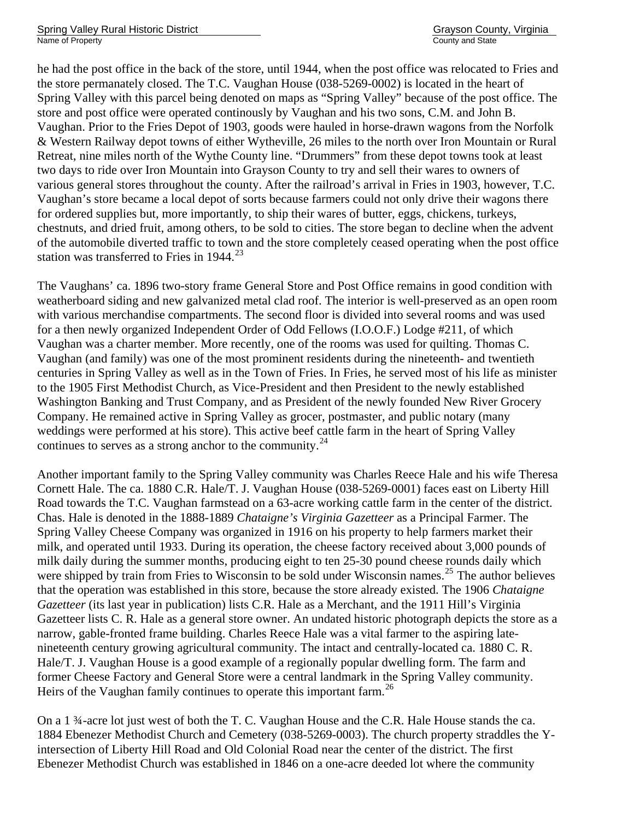he had the post office in the back of the store, until 1944, when the post office was relocated to Fries and the store permanately closed. The T.C. Vaughan House (038-5269-0002) is located in the heart of Spring Valley with this parcel being denoted on maps as "Spring Valley" because of the post office. The store and post office were operated continously by Vaughan and his two sons, C.M. and John B. Vaughan. Prior to the Fries Depot of 1903, goods were hauled in horse-drawn wagons from the Norfolk & Western Railway depot towns of either Wytheville, 26 miles to the north over Iron Mountain or Rural Retreat, nine miles north of the Wythe County line. "Drummers" from these depot towns took at least two days to ride over Iron Mountain into Grayson County to try and sell their wares to owners of various general stores throughout the county. After the railroad's arrival in Fries in 1903, however, T.C. Vaughan's store became a local depot of sorts because farmers could not only drive their wagons there for ordered supplies but, more importantly, to ship their wares of butter, eggs, chickens, turkeys, chestnuts, and dried fruit, among others, to be sold to cities. The store began to decline when the advent of the automobile diverted traffic to town and the store completely ceased operating when the post office station was transferred to Fries in 1944.<sup>[23](#page-30-2)</sup>

The Vaughans' ca. 1896 two-story frame General Store and Post Office remains in good condition with weatherboard siding and new galvanized metal clad roof. The interior is well-preserved as an open room with various merchandise compartments. The second floor is divided into several rooms and was used for a then newly organized Independent Order of Odd Fellows (I.O.O.F.) Lodge #211, of which Vaughan was a charter member. More recently, one of the rooms was used for quilting. Thomas C. Vaughan (and family) was one of the most prominent residents during the nineteenth- and twentieth centuries in Spring Valley as well as in the Town of Fries. In Fries, he served most of his life as minister to the 1905 First Methodist Church, as Vice-President and then President to the newly established Washington Banking and Trust Company, and as President of the newly founded New River Grocery Company. He remained active in Spring Valley as grocer, postmaster, and public notary (many weddings were performed at his store). This active beef cattle farm in the heart of Spring Valley continues to serves as a strong anchor to the community. $^{24}$  $^{24}$  $^{24}$ 

Another important family to the Spring Valley community was Charles Reece Hale and his wife Theresa Cornett Hale. The ca. 1880 C.R. Hale/T. J. Vaughan House (038-5269-0001) faces east on Liberty Hill Road towards the T.C. Vaughan farmstead on a 63-acre working cattle farm in the center of the district. Chas. Hale is denoted in the 1888-1889 *Chataigne's Virginia Gazetteer* as a Principal Farmer. The Spring Valley Cheese Company was organized in 1916 on his property to help farmers market their milk, and operated until 1933. During its operation, the cheese factory received about 3,000 pounds of milk daily during the summer months, producing eight to ten 25-30 pound cheese rounds daily which were shipped by train from Fries to Wisconsin to be sold under Wisconsin names.<sup>[25](#page-30-2)</sup> The author believes that the operation was established in this store, because the store already existed. The 1906 *Chataigne Gazetteer* (its last year in publication) lists C.R. Hale as a Merchant, and the 1911 Hill's Virginia Gazetteer lists C. R. Hale as a general store owner. An undated historic photograph depicts the store as a narrow, gable-fronted frame building. Charles Reece Hale was a vital farmer to the aspiring latenineteenth century growing agricultural community. The intact and centrally-located ca. 1880 C. R. Hale/T. J. Vaughan House is a good example of a regionally popular dwelling form. The farm and former Cheese Factory and General Store were a central landmark in the Spring Valley community. Heirs of the Vaughan family continues to operate this important farm.<sup>[26](#page-30-2)</sup>

On a 1 ¾-acre lot just west of both the T. C. Vaughan House and the C.R. Hale House stands the ca. 1884 Ebenezer Methodist Church and Cemetery (038-5269-0003). The church property straddles the Yintersection of Liberty Hill Road and Old Colonial Road near the center of the district. The first Ebenezer Methodist Church was established in 1846 on a one-acre deeded lot where the community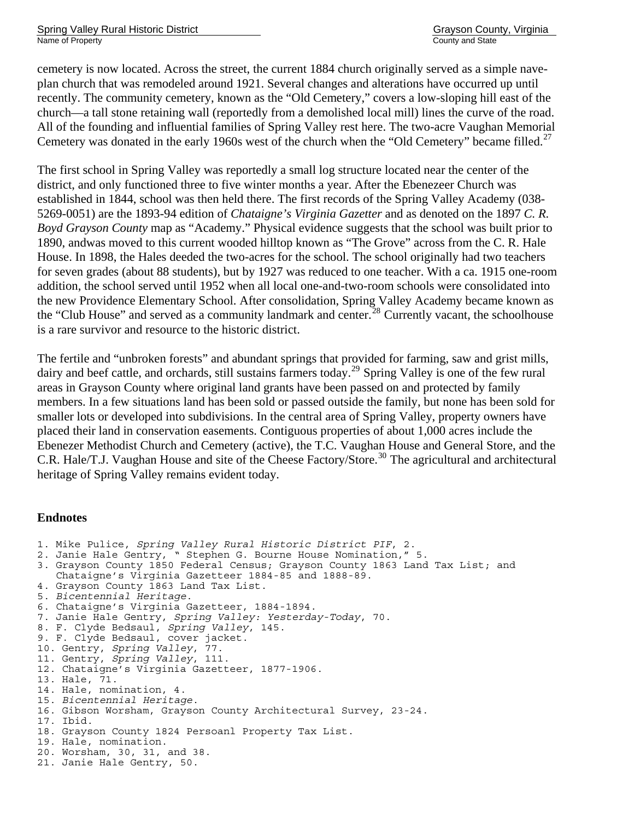cemetery is now located. Across the street, the current 1884 church originally served as a simple naveplan church that was remodeled around 1921. Several changes and alterations have occurred up until recently. The community cemetery, known as the "Old Cemetery," covers a low-sloping hill east of the church—a tall stone retaining wall (reportedly from a demolished local mill) lines the curve of the road. All of the founding and influential families of Spring Valley rest here. The two-acre Vaughan Memorial Cemetery was donated in the early 1960s west of the church when the "Old Cemetery" became filled.<sup>[27](#page-30-2)</sup>

The first school in Spring Valley was reportedly a small log structure located near the center of the district, and only functioned three to five winter months a year. After the Ebenezeer Church was established in 1844, school was then held there. The first records of the Spring Valley Academy (038- 5269-0051) are the 1893-94 edition of *Chataigne's Virginia Gazetter* and as denoted on the 1897 *C. R. Boyd Grayson County* map as "Academy." Physical evidence suggests that the school was built prior to 1890, andwas moved to this current wooded hilltop known as "The Grove" across from the C. R. Hale House. In 1898, the Hales deeded the two-acres for the school. The school originally had two teachers for seven grades (about 88 students), but by 1927 was reduced to one teacher. With a ca. 1915 one-room addition, the school served until 1952 when all local one-and-two-room schools were consolidated into the new Providence Elementary School. After consolidation, Spring Valley Academy became known as the "Club House" and served as a community landmark and center.<sup>[28](#page-30-2)</sup> Currently vacant, the schoolhouse is a rare survivor and resource to the historic district.

The fertile and "unbroken forests" and abundant springs that provided for farming, saw and grist mills, dairy and beef cattle, and orchards, still sustains farmers today.<sup>[29](#page-30-2)</sup> Spring Valley is one of the few rural areas in Grayson County where original land grants have been passed on and protected by family members. In a few situations land has been sold or passed outside the family, but none has been sold for smaller lots or developed into subdivisions. In the central area of Spring Valley, property owners have placed their land in conservation easements. Contiguous properties of about 1,000 acres include the Ebenezer Methodist Church and Cemetery (active), the T.C. Vaughan House and General Store, and the C.R. Hale/T.J. Vaughan House and site of the Cheese Factory/Store.<sup>[30](#page-30-2)</sup> The agricultural and architectural heritage of Spring Valley remains evident today.

## **Endnotes**

1. Mike Pulice, *Spring Valley Rural Historic District PIF*, 2. 2. Janie Hale Gentry, " Stephen G. Bourne House Nomination," 5. 3. Grayson County 1850 Federal Census; Grayson County 1863 Land Tax List; and Chataigne's Virginia Gazetteer 1884-85 and 1888-89. 4. Grayson County 1863 Land Tax List. 5. *Bicentennial Heritage*. 6. Chataigne's Virginia Gazetteer, 1884-1894. 7. Janie Hale Gentry, *Spring Valley: Yesterday-Today*, 70. 8. F. Clyde Bedsaul, *Spring Valley*, 145. 9. F. Clyde Bedsaul, cover jacket. 10. Gentry, *Spring Valley*, 77. 11. Gentry, *Spring Valley*, 111. 12. Chataigne's Virginia Gazetteer, 1877-1906. 13. Hale, 71. 14. Hale, nomination, 4.<br>15. Bicentennial Heritage. 15. *Bicentennial Heritage*. 16. Gibson Worsham, Grayson County Architectural Survey, 23-24. 17. Ibid. 18. Grayson County 1824 Persoanl Property Tax List. 19. Hale, nomination. 20. Worsham, 30, 31, and 38. 21. Janie Hale Gentry, 50.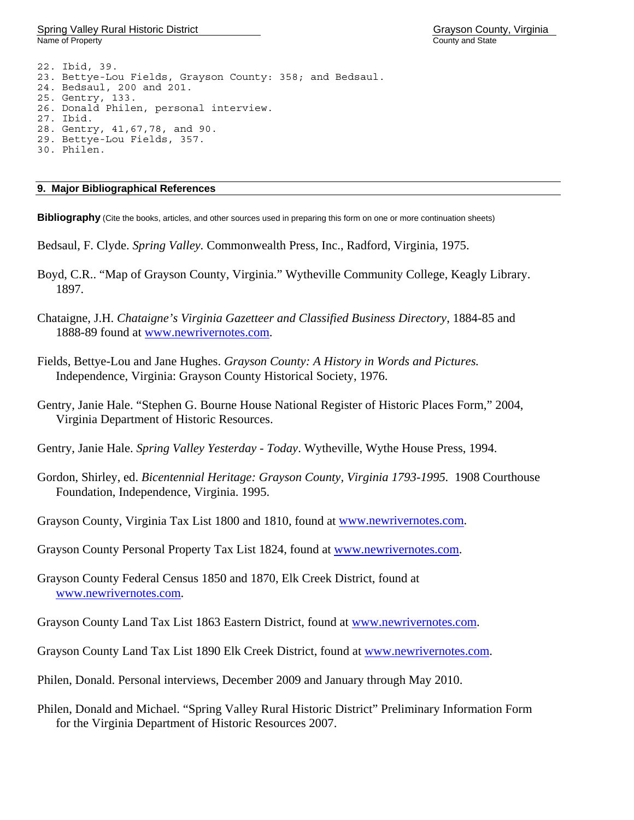Spring Valley Rural Historic District Grayson County, Virginia Name of Property County and State County and State County and State County and State County and State County and State County and State County and State County and State County and State County and State County and State C

22. Ibid, 39. 23. Bettye-Lou Fields, Grayson County: 358; and Bedsaul. 24. Bedsaul, 200 and 201. 25. Gentry, 133. 26. Donald Philen, personal interview. 27. Ibid. 28. Gentry, 41,67,78, and 90. 29. Bettye-Lou Fields, 357. 30. Philen.

## **9. Major Bibliographical References**

**Bibliography** (Cite the books, articles, and other sources used in preparing this form on one or more continuation sheets)

- Bedsaul, F. Clyde. *Spring Valley.* Commonwealth Press, Inc., Radford, Virginia, 1975.
- Boyd, C.R.. "Map of Grayson County, Virginia." Wytheville Community College, Keagly Library. 1897.
- Chataigne, J.H. *Chataigne's Virginia Gazetteer and Classified Business Directory*, 1884-85 and 1888-89 found at [www.newrivernotes.com](http://www.newrivernotes.com/).
- Fields, Bettye-Lou and Jane Hughes. *Grayson County: A History in Words and Pictures.* Independence, Virginia: Grayson County Historical Society, 1976.
- Gentry, Janie Hale. "Stephen G. Bourne House National Register of Historic Places Form," 2004, Virginia Department of Historic Resources.
- Gentry, Janie Hale. *Spring Valley Yesterday Today*. Wytheville, Wythe House Press, 1994.
- Gordon, Shirley, ed. *Bicentennial Heritage: Grayson County, Virginia 1793-1995.* 1908 Courthouse Foundation, Independence, Virginia. 1995.
- Grayson County, Virginia Tax List 1800 and 1810, found at [www.newrivernotes.com](http://www.newrivernotes.com/).
- Grayson County Personal Property Tax List 1824, found at [www.newrivernotes.com.](http://www.newrivernotes.com/)
- Grayson County Federal Census 1850 and 1870, Elk Creek District, found at [www.newrivernotes.com.](http://www.newrivernotes.com/)
- Grayson County Land Tax List 1863 Eastern District, found at [www.newrivernotes.com.](http://www.newrivernotes.com/)
- Grayson County Land Tax List 1890 Elk Creek District, found at [www.newrivernotes.com.](http://www.newrivernotes.com/)
- Philen, Donald. Personal interviews, December 2009 and January through May 2010.
- Philen, Donald and Michael. "Spring Valley Rural Historic District" Preliminary Information Form for the Virginia Department of Historic Resources 2007.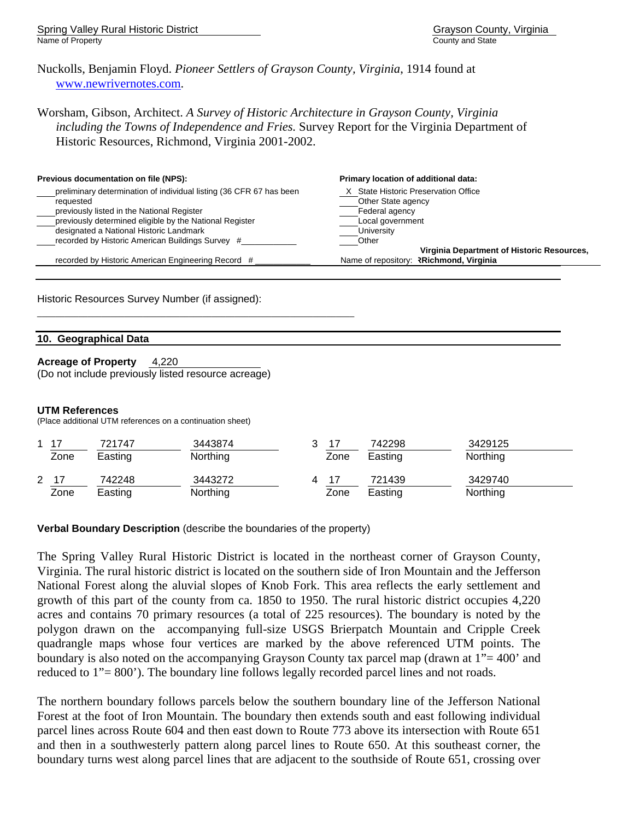Spring Valley Rural Historic District Grayson County, Virginia Name of Property **County and State** 

Nuckolls, Benjamin Floyd. *Pioneer Settlers of Grayson County, Virginia*, 1914 found at [www.newrivernotes.com.](http://www.newrivernotes.com/)

Worsham, Gibson, Architect. *A Survey of Historic Architecture in Grayson County, Virginia including the Towns of Independence and Fries.* Survey Report for the Virginia Department of Historic Resources, Richmond, Virginia 2001-2002.

| Previous documentation on file (NPS):                                                                                                                                                                                                                                                    | Primary location of additional data:                                                                                                                                  |
|------------------------------------------------------------------------------------------------------------------------------------------------------------------------------------------------------------------------------------------------------------------------------------------|-----------------------------------------------------------------------------------------------------------------------------------------------------------------------|
| preliminary determination of individual listing (36 CFR 67 has been<br>requested<br>previously listed in the National Register<br>previously determined eligible by the National Register<br>designated a National Historic Landmark<br>recorded by Historic American Buildings Survey # | X State Historic Preservation Office<br>Other State agency<br>Federal agency<br>Local government<br>University<br>Other<br>Virginia Department of Historic Resources, |
| recorded by Historic American Engineering Record #                                                                                                                                                                                                                                       | Name of repository: <b>Richmond, Virginia</b>                                                                                                                         |

Historic Resources Survey Number (if assigned):

## **10. Geographical Data**

**Acreage of Property** 4,220 (Do not include previously listed resource acreage)

#### **UTM References**

(Place additional UTM references on a continuation sheet)

| $\overline{ }$       | -47<br>Zone | 721747<br>Easting | 3443874<br><b>Northing</b> | 17<br>Zone | 742298<br>Easting | 3429125<br>Northing |
|----------------------|-------------|-------------------|----------------------------|------------|-------------------|---------------------|
| $\mathbf{2}^{\circ}$ | 17<br>Zone  | 742248<br>Easting | 3443272<br>Northing        | 17<br>Zone | 721439<br>Easting | 3429740<br>Northing |

**Verbal Boundary Description** (describe the boundaries of the property)

 $\_$  , and the set of the set of the set of the set of the set of the set of the set of the set of the set of the set of the set of the set of the set of the set of the set of the set of the set of the set of the set of th

The Spring Valley Rural Historic District is located in the northeast corner of Grayson County, Virginia. The rural historic district is located on the southern side of Iron Mountain and the Jefferson National Forest along the aluvial slopes of Knob Fork. This area reflects the early settlement and growth of this part of the county from ca. 1850 to 1950. The rural historic district occupies 4,220 acres and contains 70 primary resources (a total of 225 resources). The boundary is noted by the polygon drawn on the accompanying full-size USGS Brierpatch Mountain and Cripple Creek quadrangle maps whose four vertices are marked by the above referenced UTM points. The boundary is also noted on the accompanying Grayson County tax parcel map (drawn at 1"= 400" and reduced to 1"= 800'). The boundary line follows legally recorded parcel lines and not roads.

The northern boundary follows parcels below the southern boundary line of the Jefferson National Forest at the foot of Iron Mountain. The boundary then extends south and east following individual parcel lines across Route 604 and then east down to Route 773 above its intersection with Route 651 and then in a southwesterly pattern along parcel lines to Route 650. At this southeast corner, the boundary turns west along parcel lines that are adjacent to the southside of Route 651, crossing over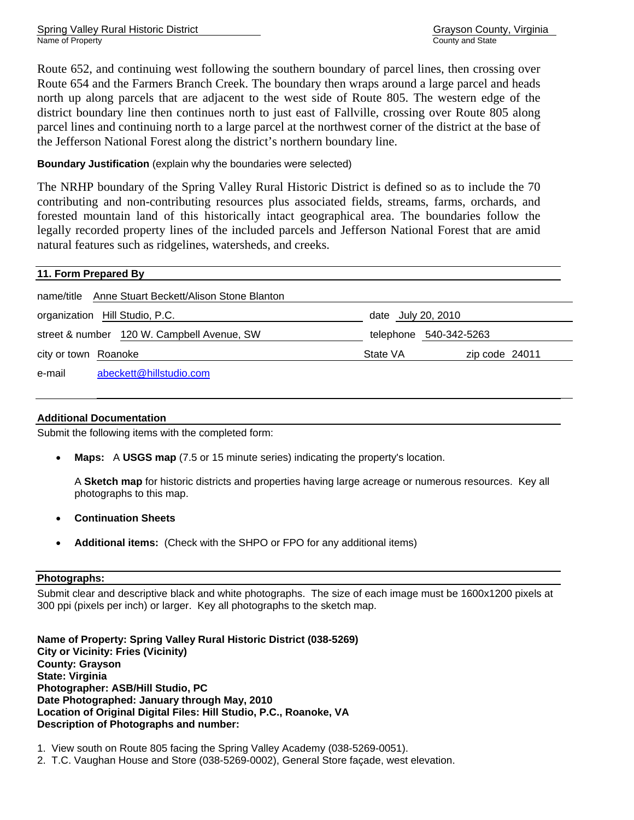Route 652, and continuing west following the southern boundary of parcel lines, then crossing over Route 654 and the Farmers Branch Creek. The boundary then wraps around a large parcel and heads north up along parcels that are adjacent to the west side of Route 805. The western edge of the district boundary line then continues north to just east of Fallville, crossing over Route 805 along parcel lines and continuing north to a large parcel at the northwest corner of the district at the base of the Jefferson National Forest along the district's northern boundary line.

## **Boundary Justification** (explain why the boundaries were selected)

The NRHP boundary of the Spring Valley Rural Historic District is defined so as to include the 70 contributing and non-contributing resources plus associated fields, streams, farms, orchards, and forested mountain land of this historically intact geographical area. The boundaries follow the legally recorded property lines of the included parcels and Jefferson National Forest that are amid natural features such as ridgelines, watersheds, and creeks.

| 11. Form Prepared By                                   |                    |                |  |  |  |
|--------------------------------------------------------|--------------------|----------------|--|--|--|
| Anne Stuart Beckett/Alison Stone Blanton<br>name/title |                    |                |  |  |  |
| organization Hill Studio, P.C.                         | date July 20, 2010 |                |  |  |  |
| street & number 120 W. Campbell Avenue, SW             | telephone          | 540-342-5263   |  |  |  |
| city or town Roanoke                                   | State VA           | zip code 24011 |  |  |  |
| abeckett@hillstudio.com<br>e-mail                      |                    |                |  |  |  |

## **Additional Documentation**

Submit the following items with the completed form:

• **Maps:** A **USGS map** (7.5 or 15 minute series) indicating the property's location.

A **Sketch map** for historic districts and properties having large acreage or numerous resources. Key all photographs to this map.

- **Continuation Sheets**
- **Additional items:** (Check with the SHPO or FPO for any additional items)

## **Photographs:**

Submit clear and descriptive black and white photographs. The size of each image must be 1600x1200 pixels at 300 ppi (pixels per inch) or larger. Key all photographs to the sketch map.

**Name of Property: Spring Valley Rural Historic District (038-5269) City or Vicinity: Fries (Vicinity) County: Grayson State: Virginia Photographer: ASB/Hill Studio, PC Date Photographed: January through May, 2010 Location of Original Digital Files: Hill Studio, P.C., Roanoke, VA Description of Photographs and number:** 

1. View south on Route 805 facing the Spring Valley Academy (038-5269-0051).

2. T.C. Vaughan House and Store (038-5269-0002), General Store façade, west elevation.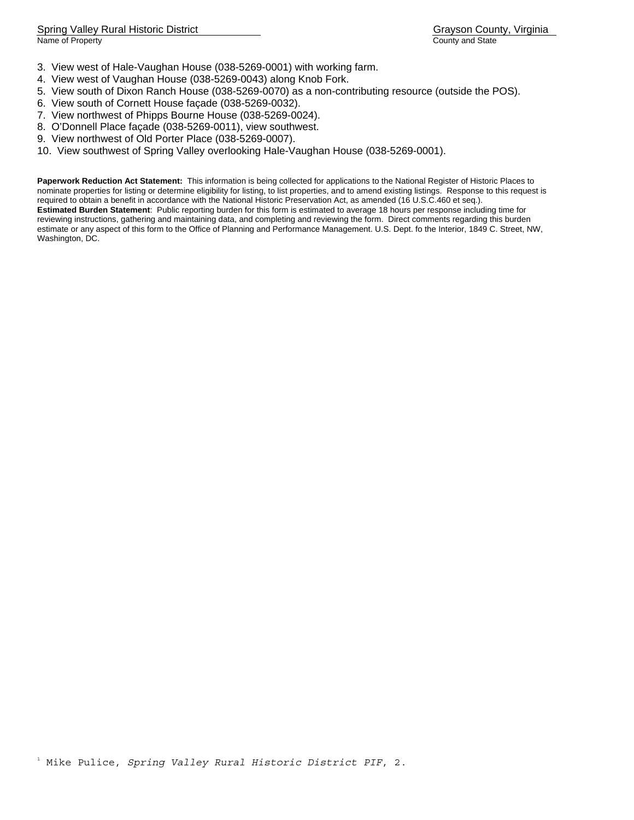- 3. View west of Hale-Vaughan House (038-5269-0001) with working farm.
- 4. View west of Vaughan House (038-5269-0043) along Knob Fork.
- 5. View south of Dixon Ranch House (038-5269-0070) as a non-contributing resource (outside the POS).
- 6. View south of Cornett House façade (038-5269-0032).
- 7. View northwest of Phipps Bourne House (038-5269-0024).
- 8. O'Donnell Place façade (038-5269-0011), view southwest.
- 9. View northwest of Old Porter Place (038-5269-0007).
- 10. View southwest of Spring Valley overlooking Hale-Vaughan House (038-5269-0001).

**Paperwork Reduction Act Statement:** This information is being collected for applications to the National Register of Historic Places to nominate properties for listing or determine eligibility for listing, to list properties, and to amend existing listings. Response to this request is required to obtain a benefit in accordance with the National Historic Preservation Act, as amended (16 U.S.C.460 et seq.). **Estimated Burden Statement**: Public reporting burden for this form is estimated to average 18 hours per response including time for reviewing instructions, gathering and maintaining data, and completing and reviewing the form. Direct comments regarding this burden estimate or any aspect of this form to the Office of Planning and Performance Management. U.S. Dept. fo the Interior, 1849 C. Street, NW, Washington, DC.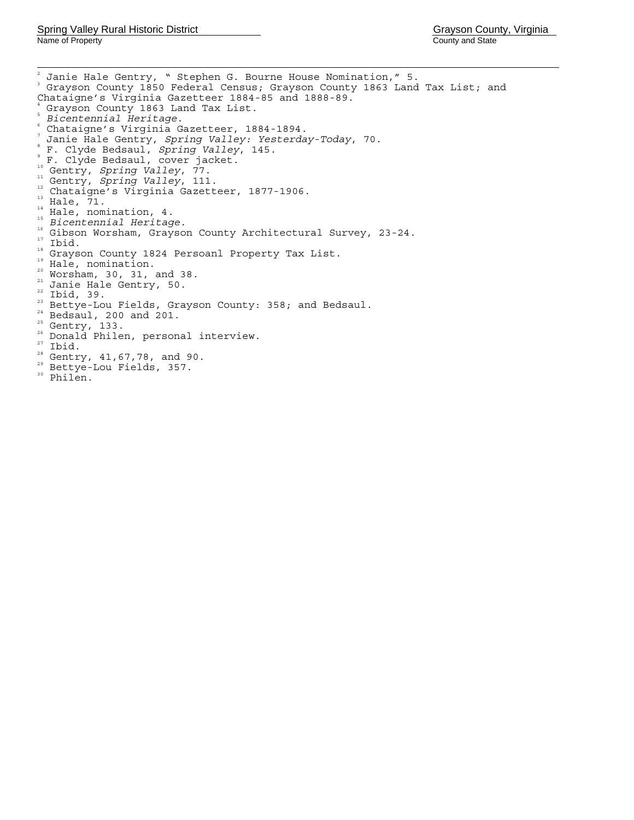<span id="page-30-2"></span><span id="page-30-1"></span><span id="page-30-0"></span> $\frac{1}{2}$  Janie Hale Gentry, " Stephen G. Bourne House Nomination," 5. 3 Grayson County 1850 Federal Census; Grayson County 1863 Land Tax List; and Chataigne's Virginia Gazetteer 1884-85 and 1888-89. 4 Grayson County 1863 Land Tax List. <sup>5</sup> *Bicentennial Heritage*. 6 Chataigne's Virginia Gazetteer, 1884-1894. <sup>7</sup> Janie Hale Gentry, *Spring Valley: Yesterday-Today*, 70. F. Clyde Bedsaul, *Spring Valley*, 145. F. Clyde Bedsaul, cover jacket.<br>
"Gentry, *Spring Valley*, 77. <sup>10</sup> Gentry, *Spring Valley*, 77.<br>
1<sup>1</sup> Gentry, *Spring Valley*, 111.<br>
12 Ghataigne's Virgina Gazetteer, 1877-1906.<br>
<sup>11</sup> Hale, 71.<br>
<sup>14</sup> Hale, nomination, 4.<br>
<sup>15</sup> Bicentemial Heritage.<br>
<sup>16</sup> Gibson Worsham, Grayson Count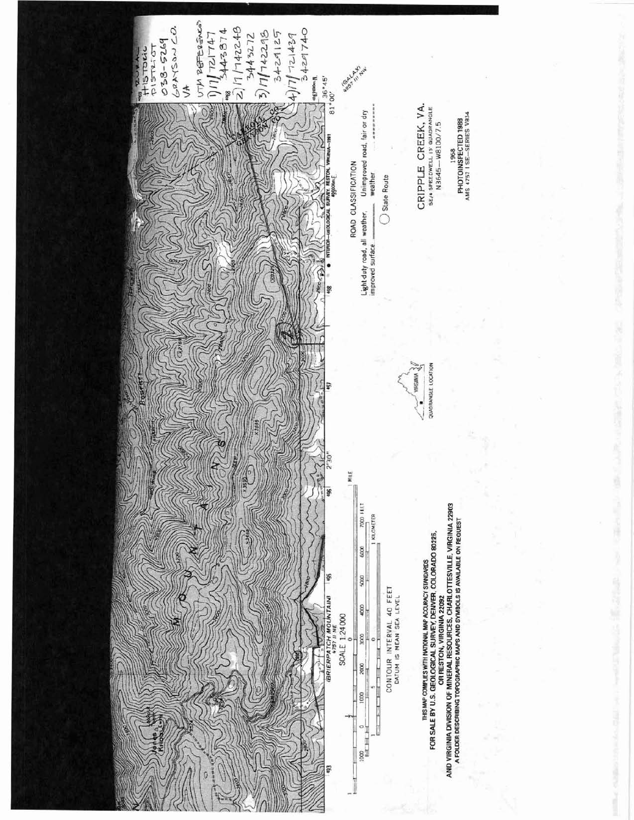